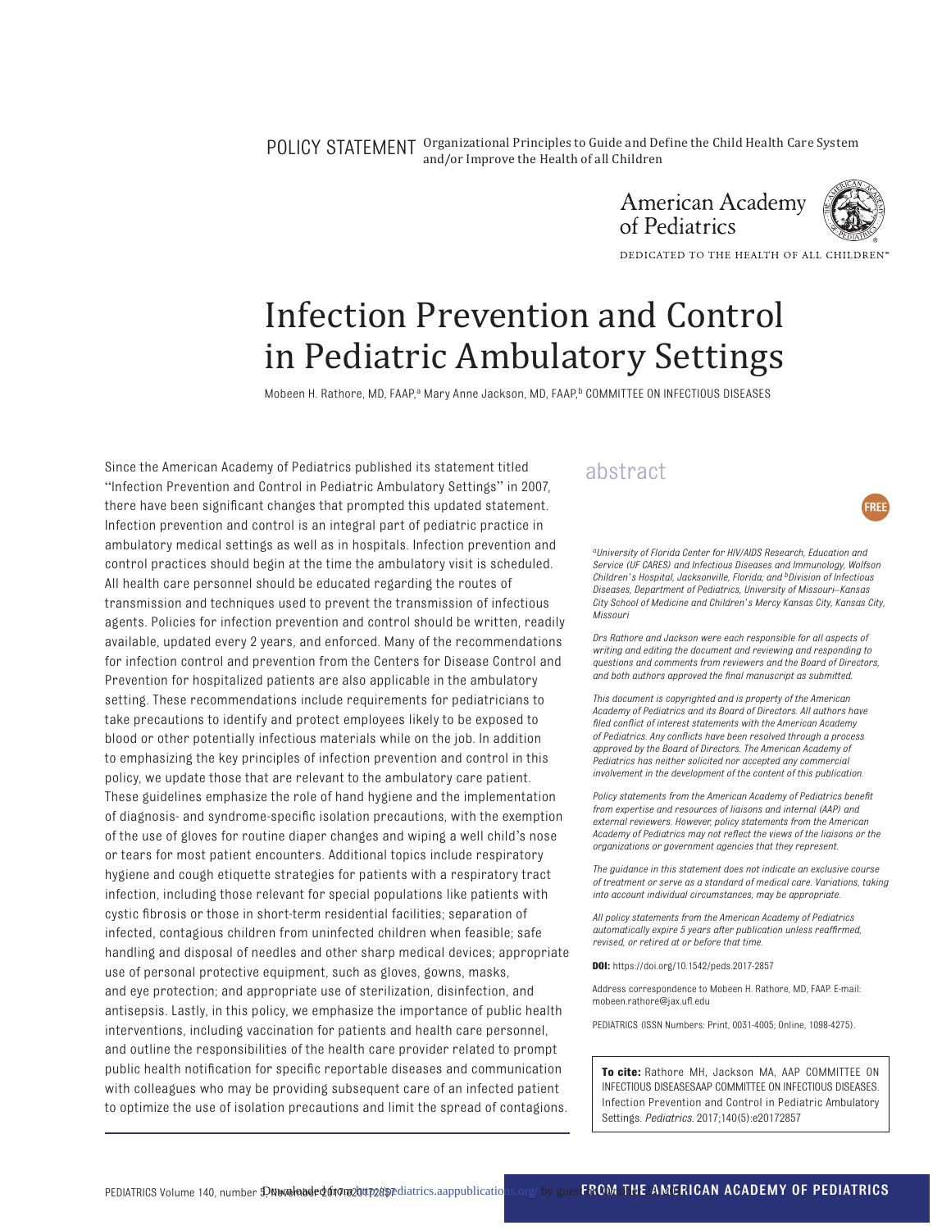POLICY STATEMENT Organizational Principles to Guide and Define the Child Health Care System<br>and/or Improve the Health of all Children

**American Academy** of Pediatrics



**FREE** 

DEDICATED TO THE HEALTH OF ALL CHILDREN"

# Infection Prevention and Control in Pediatric Ambulatory Settings

Mobeen H. Rathore, MD, FAAP,<sup>a</sup> Mary Anne Jackson, MD, FAAP,<sup>b</sup> COMMITTEE ON INFECTIOUS DISEASES

Since the American Academy of Pediatrics published its statement titled "Infection Prevention and Control in Pediatric Ambulatory Settings" in 2007, there have been significant changes that prompted this updated statement. Infection prevention and control is an integral part of pediatric practice in ambulatory medical settings as well as in hospitals. Infection prevention and control practices should begin at the time the ambulatory visit is scheduled. All health care personnel should be educated regarding the routes of transmission and techniques used to prevent the transmission of infectious agents. Policies for infection prevention and control should be written, readily available, updated every 2 years, and enforced. Many of the recommendations for infection control and prevention from the Centers for Disease Control and Prevention for hospitalized patients are also applicable in the ambulatory setting. These recommendations include requirements for pediatricians to take precautions to identify and protect employees likely to be exposed to blood or other potentially infectious materials while on the job. In addition to emphasizing the key principles of infection prevention and control in this policy, we update those that are relevant to the ambulatory care patient. These guidelines emphasize the role of hand hygiene and the implementation of diagnosis- and syndrome-specific isolation precautions, with the exemption of the use of gloves for routine diaper changes and wiping a well child's nose or tears for most patient encounters. Additional topics include respiratory hygiene and cough etiquette strategies for patients with a respiratory tract infection, including those relevant for special populations like patients with cystic fibrosis or those in short-term residential facilities; separation of infected, contagious children from uninfected children when feasible; safe handling and disposal of needles and other sharp medical devices; appropriate use of personal protective equipment, such as gloves, gowns, masks, and eye protection; and appropriate use of sterilization, disinfection, and antisepsis. Lastly, in this policy, we emphasize the importance of public health interventions, including vaccination for patients and health care personnel, and outline the responsibilities of the health care provider related to prompt public health notification for specific reportable diseases and communication with colleagues who may be providing subsequent care of an infected patient to optimize the use of isolation precautions and limit the spread of contagions.

# abstract

*aUniversity of Florida Center for HIV/AIDS Research, Education and Service (UF CARES) and Infectious Diseases and Immunology, Wolfson Children's Hospital, Jacksonville, Florida; and bDivision of Infectious Diseases, Department of Pediatrics, University of Missouri–Kansas City School of Medicine and Children's Mercy Kansas City, Kansas City, Missouri*

*Drs Rathore and Jackson were each responsible for all aspects of writing and editing the document and reviewing and responding to questions and comments from reviewers and the Board of Directors, and both authors approved the final manuscript as submitted.*

*This document is copyrighted and is property of the American Academy of Pediatrics and its Board of Directors. All authors have filed conflict of interest statements with the American Academy of Pediatrics. Any conflicts have been resolved through a process approved by the Board of Directors. The American Academy of Pediatrics has neither solicited nor accepted any commercial involvement in the development of the content of this publication.*

*Policy statements from the American Academy of Pediatrics benefit from expertise and resources of liaisons and internal (AAP) and external reviewers. However, policy statements from the American Academy of Pediatrics may not reflect the views of the liaisons or the organizations or government agencies that they represent.*

*The guidance in this statement does not indicate an exclusive course of treatment or serve as a standard of medical care. Variations, taking into account individual circumstances, may be appropriate.*

*All policy statements from the American Academy of Pediatrics automatically expire 5 years after publication unless reaffirmed, revised, or retired at or before that time.*

**DOI:** https:// doi. org/ 10. 1542/ peds. 2017- 2857

Address correspondence to Mobeen H. Rathore, MD, FAAP. E-mail: mobeen.rathore@jax.ufl.edu

PEDIATRICS (ISSN Numbers: Print, 0031-4005; Online, 1098-4275).

**To cite:** Rathore MH, Jackson MA, AAP COMMITTEE ON INFECTIOUS DISEASESAAP COMMITTEE ON INFECTIOUS DISEASES. Infection Prevention and Control in Pediatric Ambulatory Settings. *Pediatrics.* 2017;140(5):e20172857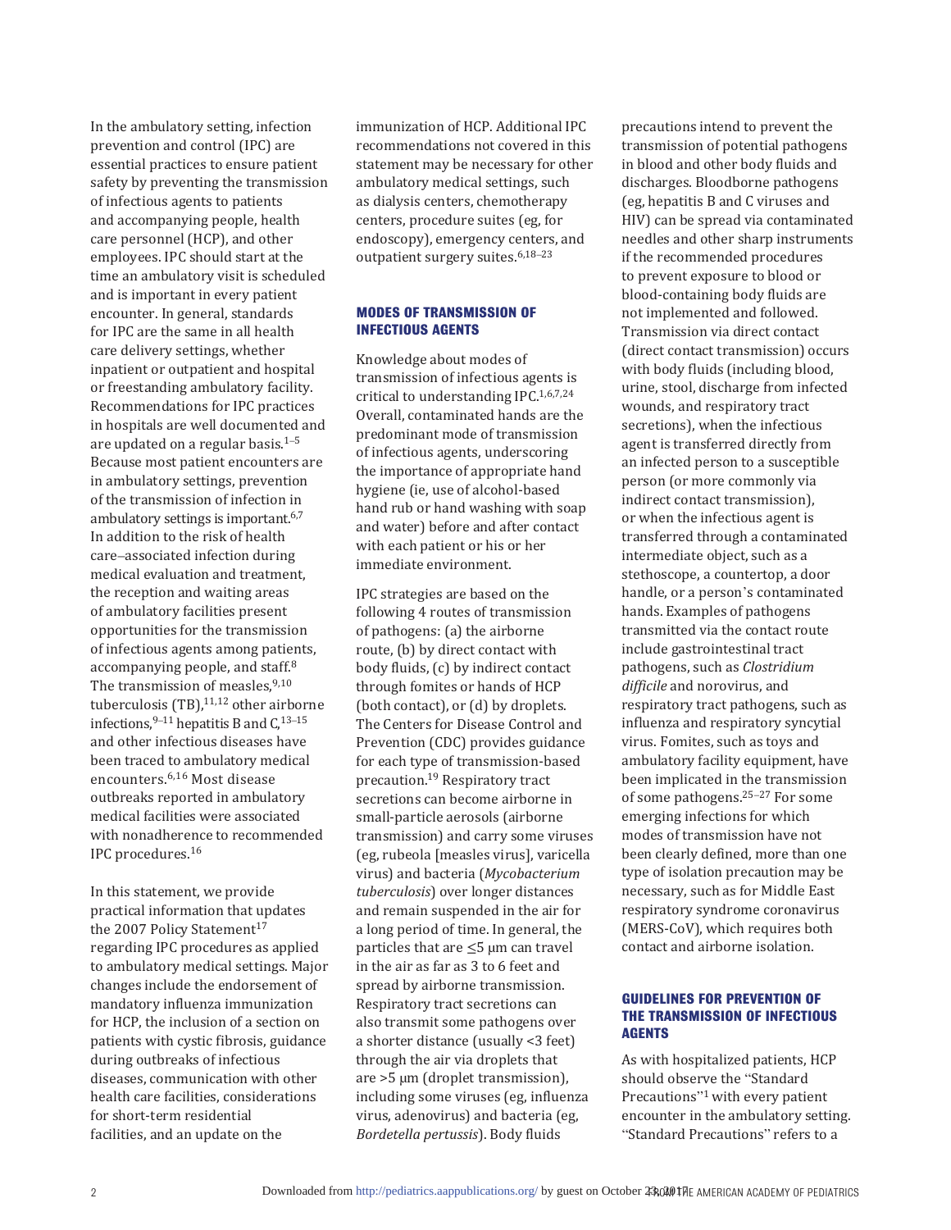In the ambulatory setting, infection prevention and control (IPC) are essential practices to ensure patient safety by preventing the transmission of infectious agents to patients and accompanying people, health care personnel (HCP), and other employees. IPC should start at the time an ambulatory visit is scheduled and is important in every patient encounter. In general, standards for IPC are the same in all health care delivery settings, whether inpatient or outpatient and hospital or freestanding ambulatory facility. Recommendations for IPC practices in hospitals are well documented and are updated on a regular basis.1–<sup>5</sup> Because most patient encounters are in ambulatory settings, prevention of the transmission of infection in ambulatory settings is important.<sup>6,7</sup> In addition to the risk of health care–associated infection during medical evaluation and treatment, the reception and waiting areas of ambulatory facilities present opportunities for the transmission of infectious agents among patients, accompanying people, and staff.8 The transmission of measles,  $9,10$ tuberculosis (TB), $11,12$  other airborne infections,  $9-11$  hepatitis B and C,  $13-15$ and other infectious diseases have been traced to ambulatory medical encounters.<sup>6,16</sup> Most disease outbreaks reported in ambulatory medical facilities were associated with nonadherence to recommended IPC procedures.16

In this statement, we provide practical information that updates the 2007 Policy Statement<sup>17</sup> regarding IPC procedures as applied to ambulatory medical settings. Major changes include the endorsement of mandatory influenza immunization for HCP, the inclusion of a section on patients with cystic fibrosis, guidance during outbreaks of infectious diseases, communication with other health care facilities, considerations for short-term residential facilities, and an update on the

immunization of HCP. Additional IPC recommendations not covered in this statement may be necessary for other ambulatory medical settings, such as dialysis centers, chemotherapy centers, procedure suites (eg, for endoscopy), emergency centers, and outpatient surgery suites.<sup>6,18-23</sup>

### **MODES OF TRANSMISSION OF INFECTIOUS AGENTS**

Knowledge about modes of transmission of infectious agents is critical to understanding IPC.<sup>1,6,7,24</sup> Overall, contaminated hands are the predominant mode of transmission of infectious agents, underscoring the importance of appropriate hand hygiene (ie, use of alcohol-based hand rub or hand washing with soap and water) before and after contact with each patient or his or her immediate environment.

IPC strategies are based on the following 4 routes of transmission of pathogens: (a) the airborne route, (b) by direct contact with body fluids, (c) by indirect contact through fomites or hands of HCP (both contact), or (d) by droplets. The Centers for Disease Control and Prevention (CDC) provides guidance for each type of transmission-based precaution.19 Respiratory tract secretions can become airborne in small-particle aerosols (airborne transmission) and carry some viruses (eg, rubeola [measles virus], varicella virus) and bacteria (*Mycobacterium tuberculosis*) over longer distances and remain suspended in the air for a long period of time. In general, the particles that are  $\leq$ 5  $\mu$ m can travel in the air as far as 3 to 6 feet and spread by airborne transmission. Respiratory tract secretions can also transmit some pathogens over a shorter distance (usually <3 feet) through the air via droplets that are >5 μm (droplet transmission), including some viruses (eg, influenza virus, adenovirus) and bacteria (eg, *Bordetella pertussis*). Body fluids

precautions intend to prevent the transmission of potential pathogens in blood and other body fluids and discharges. Bloodborne pathogens (eg, hepatitis B and C viruses and HIV) can be spread via contaminated needles and other sharp instruments if the recommended procedures to prevent exposure to blood or blood-containing body fluids are not implemented and followed. Transmission via direct contact (direct contact transmission) occurs with body fluids (including blood, urine, stool, discharge from infected wounds, and respiratory tract secretions), when the infectious agent is transferred directly from an infected person to a susceptible person (or more commonly via indirect contact transmission), or when the infectious agent is transferred through a contaminated intermediate object, such as a stethoscope, a countertop, a door handle, or a person's contaminated hands. Examples of pathogens transmitted via the contact route include gastrointestinal tract pathogens, such as *Clostridium difficile* and norovirus, and respiratory tract pathogens, such as influenza and respiratory syncytial virus. Fomites, such as toys and ambulatory facility equipment, have been implicated in the transmission of some pathogens.25–27 For some emerging infections for which modes of transmission have not been clearly defined, more than one type of isolation precaution may be necessary, such as for Middle East respiratory syndrome coronavirus (MERS-CoV), which requires both contact and airborne isolation.

#### **GUIDELINES FOR PREVENTION OF THE TRANSMISSION OF INFECTIOUS AGENTS**

As with hospitalized patients, HCP should observe the "Standard Precautions"1 with every patient encounter in the ambulatory setting. "Standard Precautions" refers to a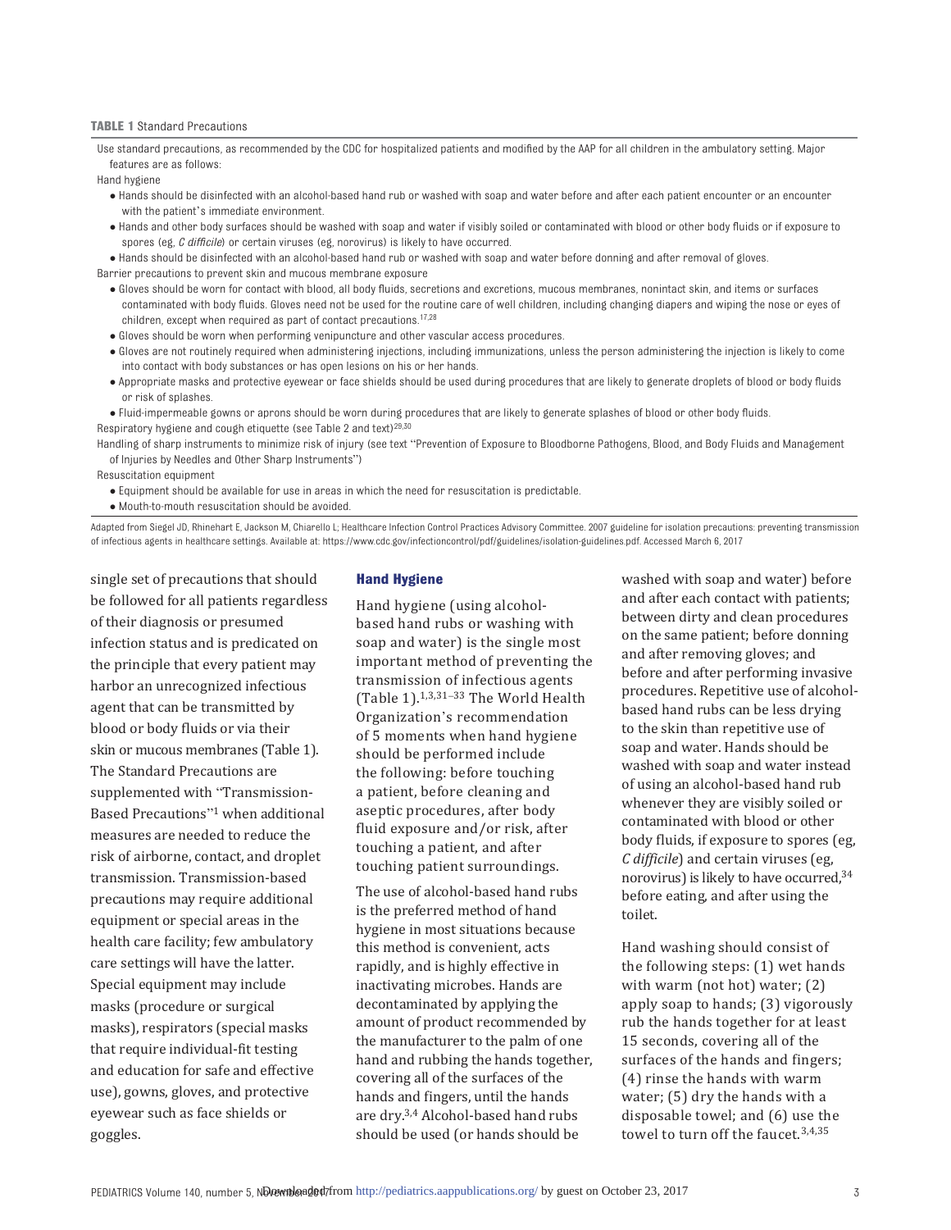#### **TABLE 1** Standard Precautions

Use standard precautions, as recommended by the CDC for hospitalized patients and modified by the AAP for all children in the ambulatory setting. Major features are as follows:

Hand hygiene

- ̭ Hands should be disinfected with an alcohol-based hand rub or washed with soap and water before and after each patient encounter or an encounter with the patient's immediate environment.
- ̭ Hands and other body surfaces should be washed with soap and water if visibly soiled or contaminated with blood or other body fluids or if exposure to spores (eg, *C difficile*) or certain viruses (eg, norovirus) is likely to have occurred.
- ̭ Hands should be disinfected with an alcohol-based hand rub or washed with soap and water before donning and after removal of gloves. Barrier precautions to prevent skin and mucous membrane exposure
	- ̭ Gloves should be worn for contact with blood, all body fluids, secretions and excretions, mucous membranes, nonintact skin, and items or surfaces contaminated with body fluids. Gloves need not be used for the routine care of well children, including changing diapers and wiping the nose or eyes of children, except when required as part of contact precautions.<sup>17,28</sup>
	- ̭ Gloves should be worn when performing venipuncture and other vascular access procedures.
	- ̭ Gloves are not routinely required when administering injections, including immunizations, unless the person administering the injection is likely to come into contact with body substances or has open lesions on his or her hands.
	- ̭ Appropriate masks and protective eyewear or face shields should be used during procedures that are likely to generate droplets of blood or body fluids or risk of splashes.

 ̭ Fluid-impermeable gowns or aprons should be worn during procedures that are likely to generate splashes of blood or other body fluids. Respiratory hygiene and cough etiquette (see Table 2 and text)<sup>29,30</sup>

Handling of sharp instruments to minimize risk of injury (see text "Prevention of Exposure to Bloodborne Pathogens, Blood, and Body Fluids and Management of Injuries by Needles and Other Sharp Instruments")

Resuscitation equipment

- ̭ Equipment should be available for use in areas in which the need for resuscitation is predictable.
- $\bullet$  Mouth-to-mouth resuscitation should be avoided.

Adapted from Siegel JD, Rhinehart E, Jackson M, Chiarello L; Healthcare Infection Control Practices Advisory Committee. 2007 guideline for isolation precautions: preventing transmission of infectious agents in healthcare settings. Available at: https:// www. cdc. gov/ infectioncontrol/ pdf/ guidelines/ isolation- guidelines. pdf. Accessed March 6, 2017

single set of precautions that should be followed for all patients regardless of their diagnosis or presumed infection status and is predicated on the principle that every patient may harbor an unrecognized infectious agent that can be transmitted by blood or body fluids or via their skin or mucous membranes (Table 1). The Standard Precautions are supplemented with "Transmission-Based Precautions"1 when additional measures are needed to reduce the risk of airborne, contact, and droplet transmission. Transmission-based precautions may require additional equipment or special areas in the health care facility; few ambulatory care settings will have the latter. Special equipment may include masks (procedure or surgical masks), respirators (special masks that require individual-fit testing and education for safe and effective use), gowns, gloves, and protective eyewear such as face shields or goggles.

#### **Hand Hygiene**

Hand hygiene (using alcoholbased hand rubs or washing with soap and water) is the single most important method of preventing the transmission of infectious agents (Table 1). $1,3,31-33$  The World Health Organization's recommendation of 5 moments when hand hygiene should be performed include the following: before touching a patient, before cleaning and aseptic procedures, after body fluid exposure and/or risk, after touching a patient, and after touching patient surroundings.

The use of alcohol-based hand rubs is the preferred method of hand hygiene in most situations because this method is convenient, acts rapidly, and is highly effective in inactivating microbes. Hands are decontaminated by applying the amount of product recommended by the manufacturer to the palm of one hand and rubbing the hands together, covering all of the surfaces of the hands and fingers, until the hands are dry.<sup>3,4</sup> Alcohol-based hand rubs should be used (or hands should be

washed with soap and water) before and after each contact with patients; between dirty and clean procedures on the same patient; before donning and after removing gloves; and before and after performing invasive procedures. Repetitive use of alcoholbased hand rubs can be less drying to the skin than repetitive use of soap and water. Hands should be washed with soap and water instead of using an alcohol-based hand rub whenever they are visibly soiled or contaminated with blood or other body fluids, if exposure to spores (eg, *C difficile*) and certain viruses (eg, norovirus) is likely to have occurred,34 before eating, and after using the toilet.

Hand washing should consist of the following steps: (1) wet hands with warm (not hot) water; (2) apply soap to hands; (3) vigorously rub the hands together for at least 15 seconds, covering all of the surfaces of the hands and fingers; (4) rinse the hands with warm water; (5) dry the hands with a disposable towel; and (6) use the towel to turn off the faucet.  $3,4,35$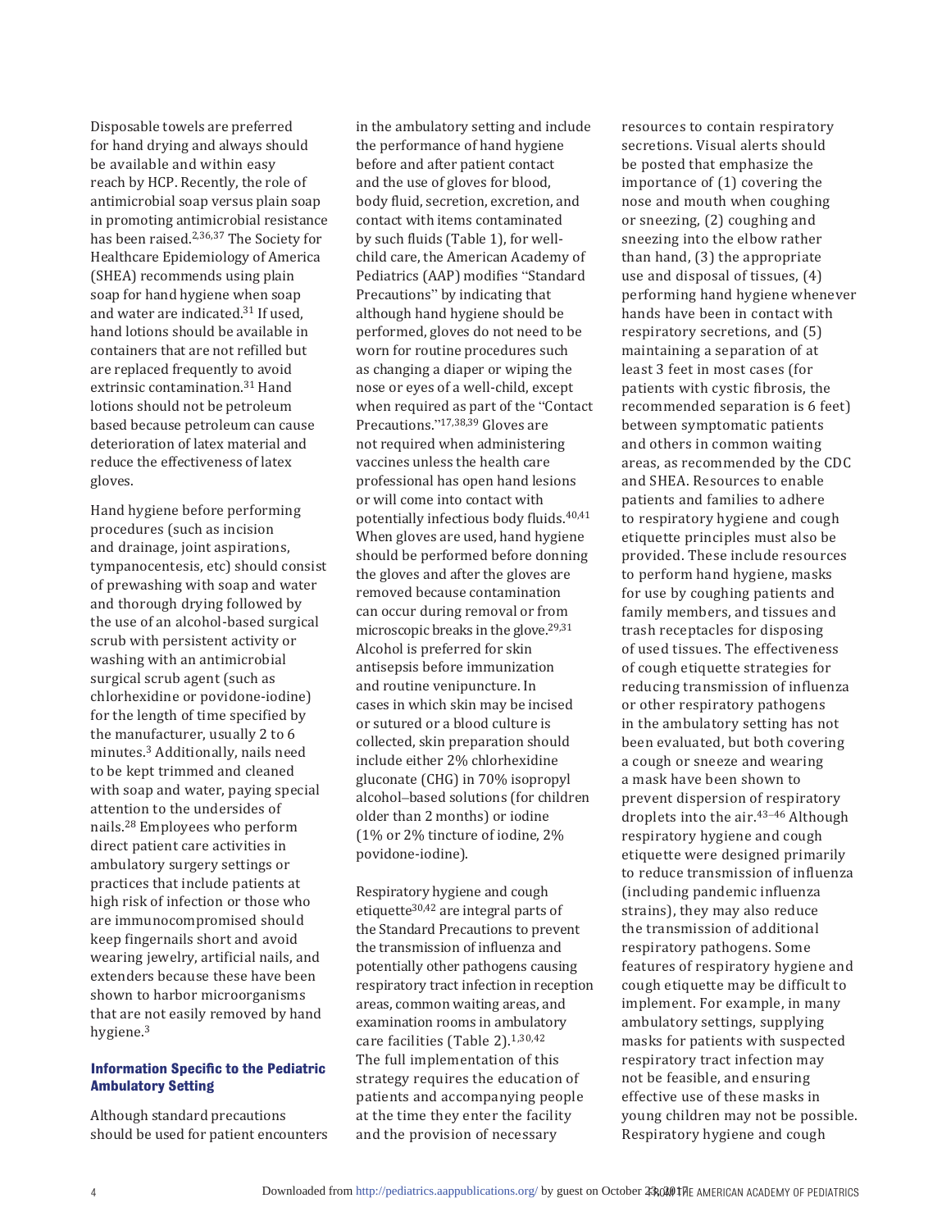Disposable towels are preferred for hand drying and always should be available and within easy reach by HCP. Recently, the role of antimicrobial soap versus plain soap in promoting antimicrobial resistance has been raised.<sup>2,36,37</sup> The Society for Healthcare Epidemiology of America (SHEA) recommends using plain soap for hand hygiene when soap and water are indicated.31 If used, hand lotions should be available in containers that are not refilled but are replaced frequently to avoid extrinsic contamination.31 Hand lotions should not be petroleum based because petroleum can cause deterioration of latex material and reduce the effectiveness of latex gloves.

Hand hygiene before performing procedures (such as incision and drainage, joint aspirations, tympanocentesis, etc) should consist of prewashing with soap and water and thorough drying followed by the use of an alcohol-based surgical scrub with persistent activity or washing with an antimicrobial surgical scrub agent (such as chlorhexidine or povidone-iodine) for the length of time specified by the manufacturer, usually 2 to 6 minutes.3 Additionally, nails need to be kept trimmed and cleaned with soap and water, paying special attention to the undersides of nails.28 Employees who perform direct patient care activities in ambulatory surgery settings or practices that include patients at high risk of infection or those who are immunocompromised should keep fingernails short and avoid wearing jewelry, artificial nails, and extenders because these have been shown to harbor microorganisms that are not easily removed by hand hygiene.3

## **Information Specific to the Pediatric Ambulatory Setting**

Although standard precautions should be used for patient encounters in the ambulatory setting and include the performance of hand hygiene before and after patient contact and the use of gloves for blood, body fluid, secretion, excretion, and contact with items contaminated by such fluids (Table 1), for wellchild care, the American Academy of Pediatrics (AAP) modifies "Standard Precautions" by indicating that although hand hygiene should be performed, gloves do not need to be worn for routine procedures such as changing a diaper or wiping the nose or eyes of a well-child, except when required as part of the "Contact Precautions."17, 38, 39 Gloves are not required when administering vaccines unless the health care professional has open hand lesions or will come into contact with potentially infectious body fluids.<sup>40,41</sup> When gloves are used, hand hygiene should be performed before donning the gloves and after the gloves are removed because contamination can occur during removal or from microscopic breaks in the glove. $29,31$ Alcohol is preferred for skin antisepsis before immunization and routine venipuncture. In cases in which skin may be incised or sutured or a blood culture is collected, skin preparation should include either 2% chlorhexidine gluconate (CHG) in 70% isopropyl alcohol–based solutions (for children older than 2 months) or iodine (1% or 2% tincture of iodine, 2% povidone-iodine).

Respiratory hygiene and cough etiquette<sup>30,42</sup> are integral parts of the Standard Precautions to prevent the transmission of influenza and potentially other pathogens causing respiratory tract infection in reception areas, common waiting areas, and examination rooms in ambulatory care facilities (Table 2). $1,30,42$ The full implementation of this strategy requires the education of patients and accompanying people at the time they enter the facility and the provision of necessary

resources to contain respiratory secretions. Visual alerts should be posted that emphasize the importance of (1) covering the nose and mouth when coughing or sneezing, (2) coughing and sneezing into the elbow rather than hand, (3) the appropriate use and disposal of tissues, (4) performing hand hygiene whenever hands have been in contact with respiratory secretions, and (5) maintaining a separation of at least 3 feet in most cases (for patients with cystic fibrosis, the recommended separation is 6 feet) between symptomatic patients and others in common waiting areas, as recommended by the CDC and SHEA. Resources to enable patients and families to adhere to respiratory hygiene and cough etiquette principles must also be provided. These include resources to perform hand hygiene, masks for use by coughing patients and family members, and tissues and trash receptacles for disposing of used tissues. The effectiveness of cough etiquette strategies for reducing transmission of influenza or other respiratory pathogens in the ambulatory setting has not been evaluated, but both covering a cough or sneeze and wearing a mask have been shown to prevent dispersion of respiratory droplets into the air.43–46 Although respiratory hygiene and cough etiquette were designed primarily to reduce transmission of influenza (including pandemic influenza strains), they may also reduce the transmission of additional respiratory pathogens. Some features of respiratory hygiene and cough etiquette may be difficult to implement. For example, in many ambulatory settings, supplying masks for patients with suspected respiratory tract infection may not be feasible, and ensuring effective use of these masks in young children may not be possible. Respiratory hygiene and cough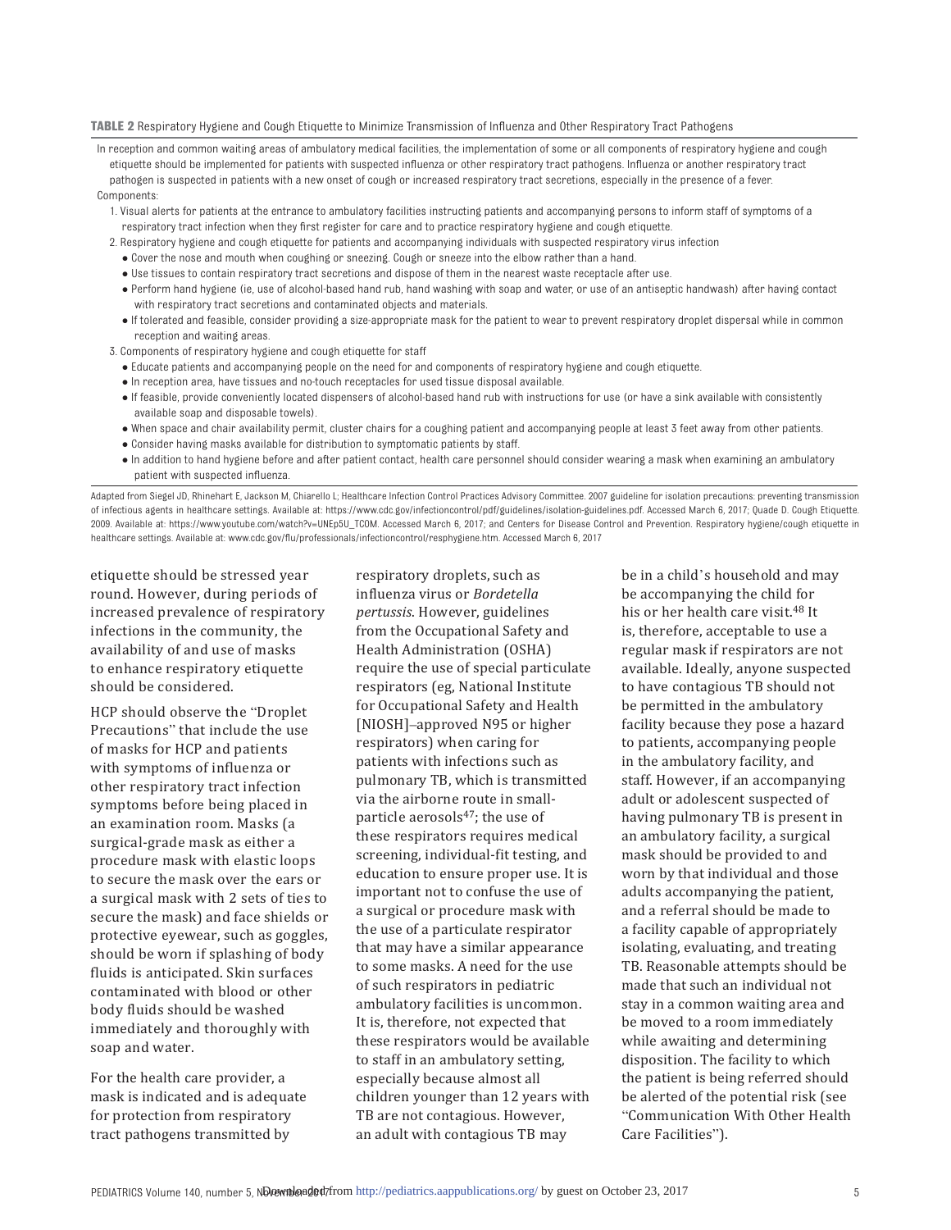#### **TABLE 2** Respiratory Hygiene and Cough Etiquette to Minimize Transmission of Influenza and Other Respiratory Tract Pathogens

In reception and common waiting areas of ambulatory medical facilities, the implementation of some or all components of respiratory hygiene and cough etiquette should be implemented for patients with suspected influenza or other respiratory tract pathogens. Influenza or another respiratory tract pathogen is suspected in patients with a new onset of cough or increased respiratory tract secretions, especially in the presence of a fever. Components:

- 1. Visual alerts for patients at the entrance to ambulatory facilities instructing patients and accompanying persons to inform staff of symptoms of a respiratory tract infection when they first register for care and to practice respiratory hygiene and cough etiquette.
- 2. Respiratory hygiene and cough etiquette for patients and accompanying individuals with suspected respiratory virus infection
	- ̭ Cover the nose and mouth when coughing or sneezing. Cough or sneeze into the elbow rather than a hand.
	- ̭ Use tissues to contain respiratory tract secretions and dispose of them in the nearest waste receptacle after use.
	- ̭ Perform hand hygiene (ie, use of alcohol-based hand rub, hand washing with soap and water, or use of an antiseptic handwash) after having contact with respiratory tract secretions and contaminated objects and materials.
	- ̭ If tolerated and feasible, consider providing a size-appropriate mask for the patient to wear to prevent respiratory droplet dispersal while in common reception and waiting areas.
- 3. Components of respiratory hygiene and cough etiquette for staff
	- ̭ Educate patients and accompanying people on the need for and components of respiratory hygiene and cough etiquette.
	- ̭ In reception area, have tissues and no-touch receptacles for used tissue disposal available.
	- ̭ If feasible, provide conveniently located dispensers of alcohol-based hand rub with instructions for use (or have a sink available with consistently available soap and disposable towels).
	- ̭ When space and chair availability permit, cluster chairs for a coughing patient and accompanying people at least 3 feet away from other patients.
	- ̭ Consider having masks available for distribution to symptomatic patients by staff.
	- ̭ In addition to hand hygiene before and after patient contact, health care personnel should consider wearing a mask when examining an ambulatory patient with suspected influenza.

Adapted from Siegel JD, Rhinehart E, Jackson M, Chiarello L; Healthcare Infection Control Practices Advisory Committee. 2007 guideline for isolation precautions: preventing transmission of infectious agents in healthcare settings. Available at: https:// www. cdc. gov/ infectioncontrol/ pdf/ guidelines/ isolation- guidelines. pdf. Accessed March 6, 2017; Quade D. Cough Etiquette. 2009. Available at: https:// www. youtube. com/ watch? v= UNEp5U\_ TCOM. Accessed March 6, 2017; and Centers for Disease Control and Prevention. Respiratory hygiene/cough etiquette in healthcare settings. Available at: www. cdc. gov/ flu/ professionals/ infectioncontrol/ resphygiene. htm. Accessed March 6, 2017

etiquette should be stressed year round. However, during periods of increased prevalence of respiratory infections in the community, the availability of and use of masks to enhance respiratory etiquette should be considered.

HCP should observe the "Droplet Precautions" that include the use of masks for HCP and patients with symptoms of influenza or other respiratory tract infection symptoms before being placed in an examination room. Masks (a surgical-grade mask as either a procedure mask with elastic loops to secure the mask over the ears or a surgical mask with 2 sets of ties to secure the mask) and face shields or protective eyewear, such as goggles, should be worn if splashing of body fluids is anticipated. Skin surfaces contaminated with blood or other body fluids should be washed immediately and thoroughly with soap and water.

For the health care provider, a mask is indicated and is adequate for protection from respiratory tract pathogens transmitted by

respiratory droplets, such as influenza virus or *Bordetella pertussis*. However, guidelines from the Occupational Safety and Health Administration (OSHA) require the use of special particulate respirators (eg, National Institute for Occupational Safety and Health [NIOSH]–approved N95 or higher respirators) when caring for patients with infections such as pulmonary TB, which is transmitted via the airborne route in smallparticle aerosols $47$ ; the use of these respirators requires medical screening, individual-fit testing, and education to ensure proper use. It is important not to confuse the use of a surgical or procedure mask with the use of a particulate respirator that may have a similar appearance to some masks. A need for the use of such respirators in pediatric ambulatory facilities is uncommon. It is, therefore, not expected that these respirators would be available to staff in an ambulatory setting, especially because almost all children younger than 12 years with TB are not contagious. However, an adult with contagious TB may

be in a child's household and may be accompanying the child for his or her health care visit.<sup>48</sup> It is, therefore, acceptable to use a regular mask if respirators are not available. Ideally, anyone suspected to have contagious TB should not be permitted in the ambulatory facility because they pose a hazard to patients, accompanying people in the ambulatory facility, and staff. However, if an accompanying adult or adolescent suspected of having pulmonary TB is present in an ambulatory facility, a surgical mask should be provided to and worn by that individual and those adults accompanying the patient, and a referral should be made to a facility capable of appropriately isolating, evaluating, and treating TB. Reasonable attempts should be made that such an individual not stay in a common waiting area and be moved to a room immediately while awaiting and determining disposition. The facility to which the patient is being referred should be alerted of the potential risk (see "Communication With Other Health Care Facilities").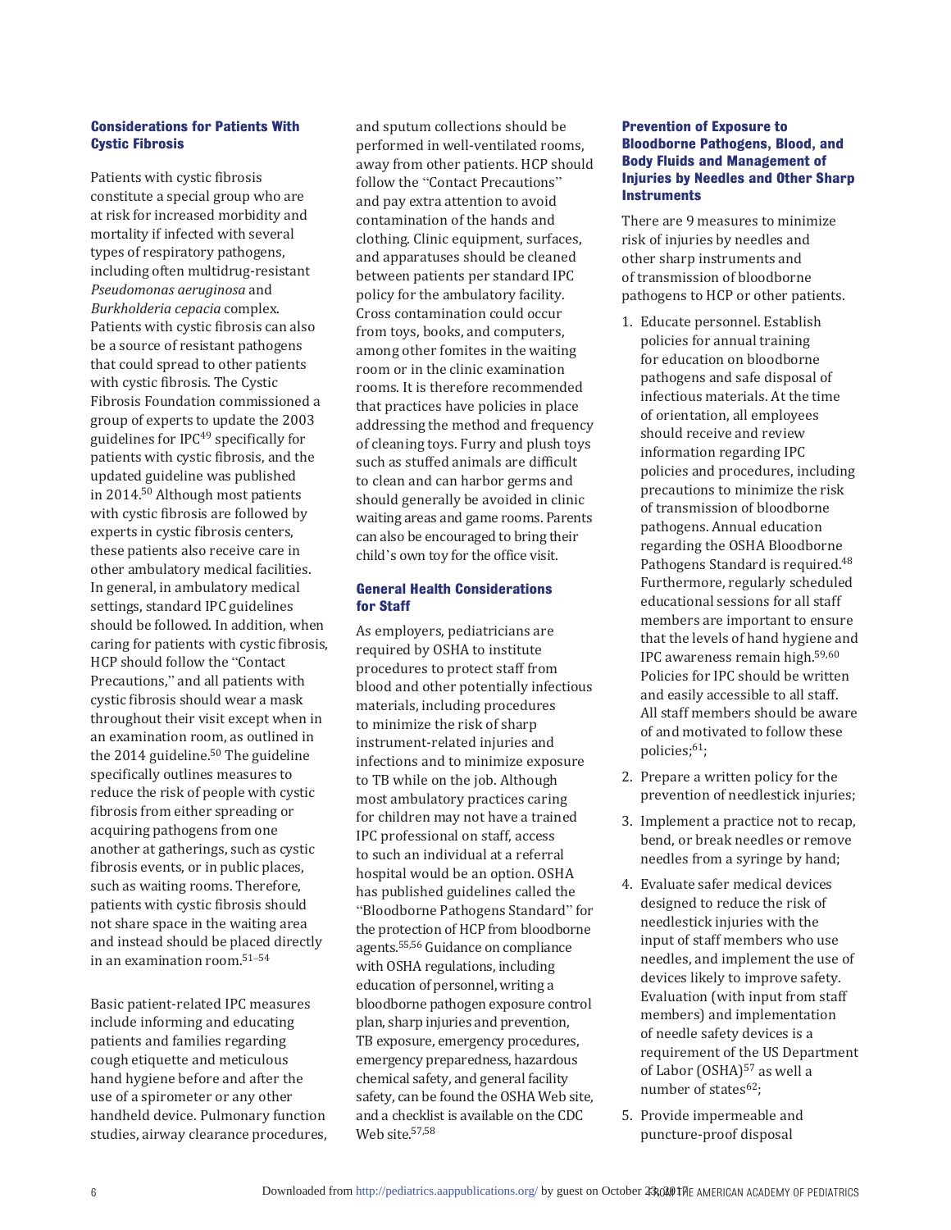# **Considerations for Patients With Cystic Fibrosis**

Patients with cystic fibrosis constitute a special group who are at risk for increased morbidity and mortality if infected with several types of respiratory pathogens, including often multidrug-resistant *Pseudomonas aeruginosa* and *Burkholderia cepacia* complex. Patients with cystic fibrosis can also be a source of resistant pathogens that could spread to other patients with cystic fibrosis. The Cystic Fibrosis Foundation commissioned a group of experts to update the 2003 guidelines for IPC49 specifically for patients with cystic fibrosis, and the updated guideline was published in 2014.50 Although most patients with cystic fibrosis are followed by experts in cystic fibrosis centers, these patients also receive care in other ambulatory medical facilities. In general, in ambulatory medical settings, standard IPC guidelines should be followed. In addition, when caring for patients with cystic fibrosis, HCP should follow the "Contact Precautions," and all patients with cystic fibrosis should wear a mask throughout their visit except when in an examination room, as outlined in the 2014 guideline.<sup>50</sup> The guideline specifically outlines measures to reduce the risk of people with cystic fibrosis from either spreading or acquiring pathogens from one another at gatherings, such as cystic fibrosis events, or in public places, such as waiting rooms. Therefore, patients with cystic fibrosis should not share space in the waiting area and instead should be placed directly in an examination room.51–<sup>54</sup>

Basic patient-related IPC measures include informing and educating patients and families regarding cough etiquette and meticulous hand hygiene before and after the use of a spirometer or any other handheld device. Pulmonary function studies, airway clearance procedures, and sputum collections should be performed in well-ventilated rooms, away from other patients. HCP should follow the "Contact Precautions" and pay extra attention to avoid contamination of the hands and clothing. Clinic equipment, surfaces, and apparatuses should be cleaned between patients per standard IPC policy for the ambulatory facility. Cross contamination could occur from toys, books, and computers, among other fomites in the waiting room or in the clinic examination rooms. It is therefore recommended that practices have policies in place addressing the method and frequency of cleaning toys. Furry and plush toys such as stuffed animals are difficult to clean and can harbor germs and should generally be avoided in clinic waiting areas and game rooms. Parents can also be encouraged to bring their child's own toy for the office visit.

# **General Health Considerations for Staff**

As employers, pediatricians are required by OSHA to institute procedures to protect staff from blood and other potentially infectious materials, including procedures to minimize the risk of sharp instrument-related injuries and infections and to minimize exposure to TB while on the job. Although most ambulatory practices caring for children may not have a trained IPC professional on staff, access to such an individual at a referral hospital would be an option. OSHA has published guidelines called the "Bloodborne Pathogens Standard" for the protection of HCP from bloodborne agents.<sup>55,56</sup> Guidance on compliance with OSHA regulations, including education of personnel, writing a bloodborne pathogen exposure control plan, sharp injuries and prevention, TB exposure, emergency procedures, emergency preparedness, hazardous chemical safety, and general facility safety, can be found the OSHA Web site, and a checklist is available on the CDC Web site.<sup>57,58</sup>

## **Prevention of Exposure to Bloodborne Pathogens, Blood, and Body Fluids and Management of Injuries by Needles and Other Sharp Instruments**

There are 9 measures to minimize risk of injuries by needles and other sharp instruments and of transmission of bloodborne pathogens to HCP or other patients.

- 1. Educate personnel. Establish policies for annual training for education on bloodborne pathogens and safe disposal of infectious materials. At the time of orientation, all employees should receive and review information regarding IPC policies and procedures, including precautions to minimize the risk of transmission of bloodborne pathogens. Annual education regarding the OSHA Bloodborne Pathogens Standard is required.48 Furthermore, regularly scheduled educational sessions for all staff members are important to ensure that the levels of hand hygiene and IPC awareness remain high.<sup>59,60</sup> Policies for IPC should be written and easily accessible to all staff. All staff members should be aware of and motivated to follow these policies;<sup>61</sup>;
- 2. Prepare a written policy for the prevention of needlestick injuries;
- 3. Implement a practice not to recap, bend, or break needles or remove needles from a syringe by hand;
- 4. Evaluate safer medical devices designed to reduce the risk of needlestick injuries with the input of staff members who use needles, and implement the use of devices likely to improve safety. Evaluation (with input from staff members) and implementation of needle safety devices is a requirement of the US Department of Labor (OSHA)<sup>57</sup> as well a number of states<sup>62</sup>;
- 5. Provide impermeable and puncture-proof disposal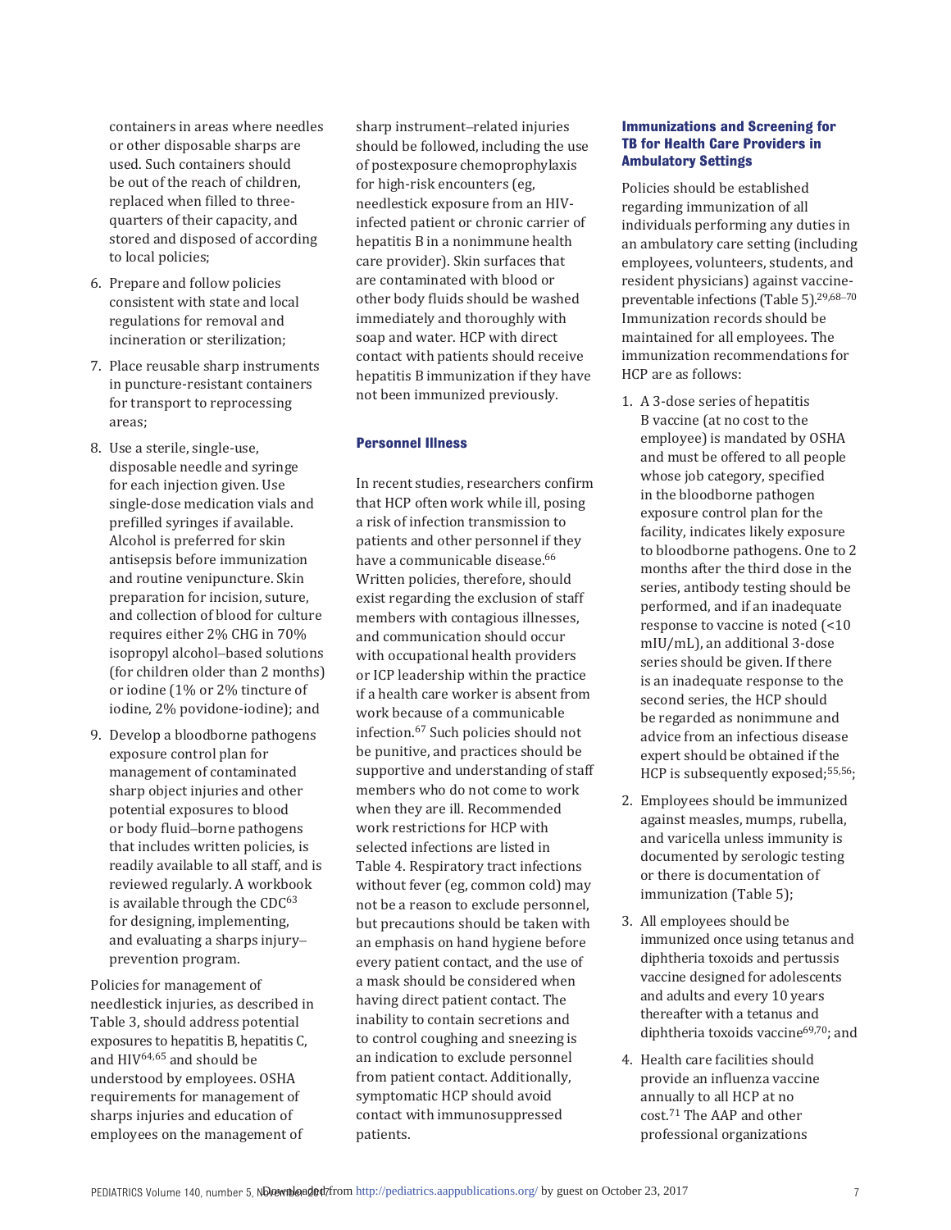containers in areas where needles or other disposable sharps are used. Such containers should be out of the reach of children, replaced when filled to threequarters of their capacity, and stored and disposed of according to local policies;

- 6. Prepare and follow policies consistent with state and local regulations for removal and incineration or sterilization;
- 7. Place reusable sharp instruments in puncture-resistant containers for transport to reprocessing areas;
- 8. Use a sterile, single-use, disposable needle and syringe for each injection given. Use single-dose medication vials and prefilled syringes if available. Alcohol is preferred for skin antisepsis before immunization and routine venipuncture. Skin preparation for incision, suture, and collection of blood for culture requires either 2% CHG in 70% isopropyl alcohol–based solutions (for children older than 2 months) or iodine (1% or 2% tincture of iodine, 2% povidone-iodine); and
- 9. Develop a bloodborne pathogens exposure control plan for management of contaminated sharp object injuries and other potential exposures to blood or body fluid–borne pathogens that includes written policies, is readily available to all staff, and is reviewed regularly. A workbook is available through the  $CDC<sup>63</sup>$ for designing, implementing, and evaluating a sharps injury– prevention program.

Policies for management of needlestick injuries, as described in Table 3, should address potential exposures to hepatitis B, hepatitis C, and  $HIV<sup>64,65</sup>$  and should be understood by employees. OSHA requirements for management of sharps injuries and education of employees on the management of

sharp instrument–related injuries should be followed, including the use of postexposure chemoprophylaxis for high-risk encounters (eg, needlestick exposure from an HIVinfected patient or chronic carrier of hepatitis B in a nonimmune health care provider). Skin surfaces that are contaminated with blood or other body fluids should be washed immediately and thoroughly with soap and water. HCP with direct contact with patients should receive hepatitis B immunization if they have not been immunized previously.

#### **Personnel Illness**

In recent studies, researchers confirm that HCP often work while ill, posing a risk of infection transmission to patients and other personnel if they have a communicable disease.<sup>66</sup> Written policies, therefore, should exist regarding the exclusion of staff members with contagious illnesses, and communication should occur with occupational health providers or ICP leadership within the practice if a health care worker is absent from work because of a communicable infection.67 Such policies should not be punitive, and practices should be supportive and understanding of staff members who do not come to work when they are ill. Recommended work restrictions for HCP with selected infections are listed in Table 4. Respiratory tract infections without fever (eg, common cold) may not be a reason to exclude personnel, but precautions should be taken with an emphasis on hand hygiene before every patient contact, and the use of a mask should be considered when having direct patient contact. The inability to contain secretions and to control coughing and sneezing is an indication to exclude personnel from patient contact. Additionally, symptomatic HCP should avoid contact with immunosuppressed patients.

# **Immunizations and Screening for TB for Health Care Providers in Ambulatory Settings**

Policies should be established regarding immunization of all individuals performing any duties in an ambulatory care setting (including employees, volunteers, students, and resident physicians) against vaccinepreventable infections (Table 5).<sup>29,68-70</sup> Immunization records should be maintained for all employees. The immunization recommendations for HCP are as follows:

- 1. A 3-dose series of hepatitis B vaccine (at no cost to the employee) is mandated by OSHA and must be offered to all people whose job category, specified in the bloodborne pathogen exposure control plan for the facility, indicates likely exposure to bloodborne pathogens. One to 2 months after the third dose in the series, antibody testing should be performed, and if an inadequate response to vaccine is noted (<10 mIU/mL), an additional 3-dose series should be given. If there is an inadequate response to the second series, the HCP should be regarded as nonimmune and advice from an infectious disease expert should be obtained if the HCP is subsequently exposed;<sup>55,56</sup>;
- 2. Employees should be immunized against measles, mumps, rubella, and varicella unless immunity is documented by serologic testing or there is documentation of immunization (Table 5);
- 3. All employees should be immunized once using tetanus and diphtheria toxoids and pertussis vaccine designed for adolescents and adults and every 10 years thereafter with a tetanus and diphtheria toxoids vaccine<sup>69,70</sup>; and
- 4. Health care facilities should provide an influenza vaccine annually to all HCP at no cost.71 The AAP and other professional organizations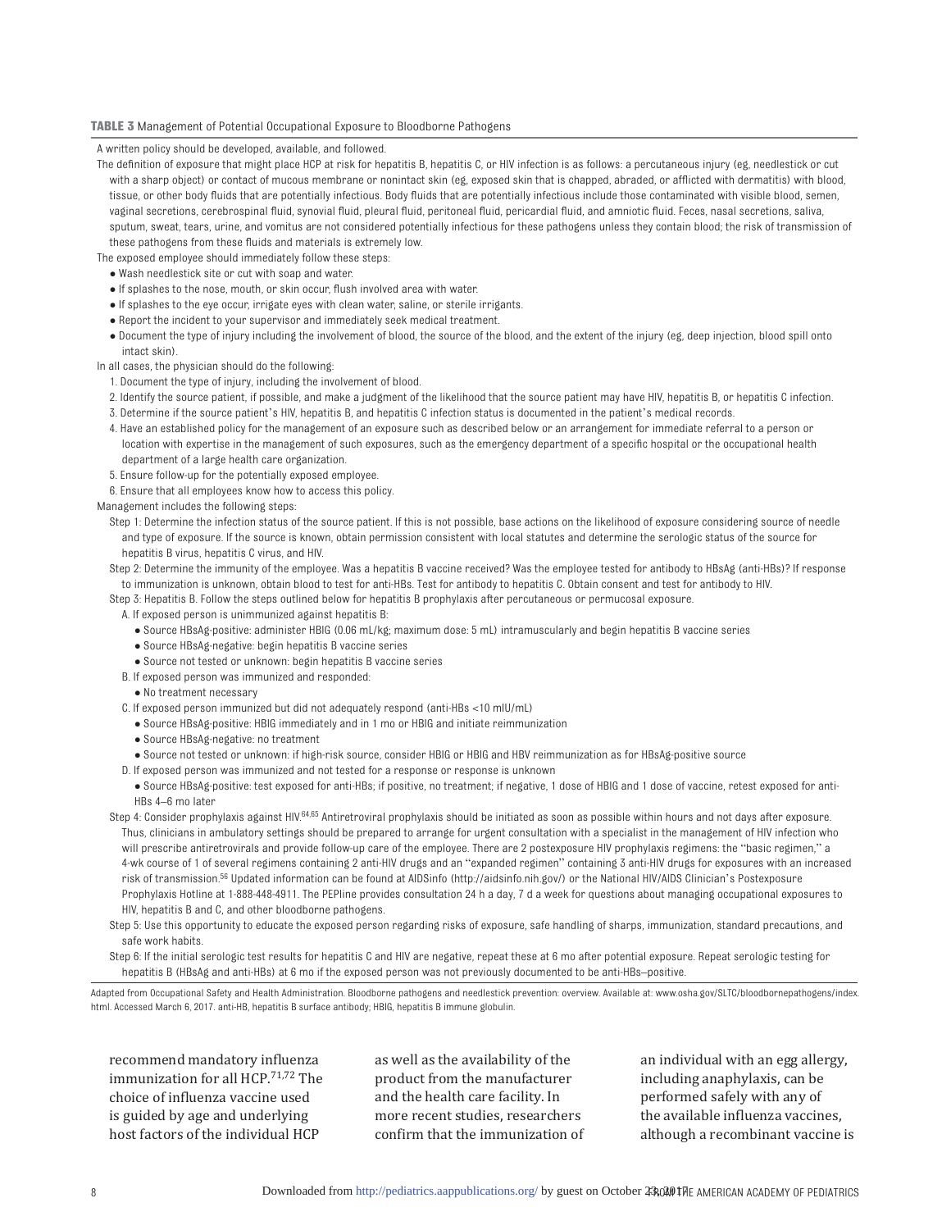#### **TABLE 3** Management of Potential Occupational Exposure to Bloodborne Pathogens

A written policy should be developed, available, and followed.

The definition of exposure that might place HCP at risk for hepatitis B, hepatitis C, or HIV infection is as follows: a percutaneous injury (eg, needlestick or cut with a sharp object) or contact of mucous membrane or nonintact skin (eg, exposed skin that is chapped, abraded, or afflicted with dermatitis) with blood, tissue, or other body fluids that are potentially infectious. Body fluids that are potentially infectious include those contaminated with visible blood, semen, vaginal secretions, cerebrospinal fluid, synovial fluid, pleural fluid, peritoneal fluid, pericardial fluid, and amniotic fluid. Feces, nasal secretions, saliva, sputum, sweat, tears, urine, and vomitus are not considered potentially infectious for these pathogens unless they contain blood; the risk of transmission of these pathogens from these fluids and materials is extremely low.

The exposed employee should immediately follow these steps:

- ̭ Wash needlestick site or cut with soap and water.
- $\bullet$  If splashes to the nose, mouth, or skin occur, flush involved area with water.
- ̭ If splashes to the eye occur, irrigate eyes with clean water, saline, or sterile irrigants.
- ̭ Report the incident to your supervisor and immediately seek medical treatment.
- ̭ Document the type of injury including the involvement of blood, the source of the blood, and the extent of the injury (eg, deep injection, blood spill onto intact skin).

In all cases, the physician should do the following:

- 1. Document the type of injury, including the involvement of blood.
- 2. Identify the source patient, if possible, and make a judgment of the likelihood that the source patient may have HIV, hepatitis B, or hepatitis C infection.
- 3. Determine if the source patient's HIV, hepatitis B, and hepatitis C infection status is documented in the patient's medical records.
- 4. Have an established policy for the management of an exposure such as described below or an arrangement for immediate referral to a person or location with expertise in the management of such exposures, such as the emergency department of a specific hospital or the occupational health department of a large health care organization.
- 5. Ensure follow-up for the potentially exposed employee.
- 6. Ensure that all employees know how to access this policy.

Management includes the following steps:

- Step 1: Determine the infection status of the source patient. If this is not possible, base actions on the likelihood of exposure considering source of needle and type of exposure. If the source is known, obtain permission consistent with local statutes and determine the serologic status of the source for hepatitis B virus, hepatitis C virus, and HIV.
- Step 2: Determine the immunity of the employee. Was a hepatitis B vaccine received? Was the employee tested for antibody to HBsAg (anti-HBs)? If response to immunization is unknown, obtain blood to test for anti-HBs. Test for antibody to hepatitis C. Obtain consent and test for antibody to HIV.

Step 3: Hepatitis B. Follow the steps outlined below for hepatitis B prophylaxis after percutaneous or permucosal exposure.

- A. If exposed person is unimmunized against hepatitis B:
	- ̭ Source HBsAg-positive: administer HBIG (0.06 mL/kg; maximum dose: 5 mL) intramuscularly and begin hepatitis B vaccine series
	- ̭ Source HBsAg-negative: begin hepatitis B vaccine series
	- ̭ Source not tested or unknown: begin hepatitis B vaccine series
- B. If exposed person was immunized and responded:
- ̭ No treatment necessary
- C. If exposed person immunized but did not adequately respond (anti-HBs <10 mIU/mL)
	- ̭ Source HBsAg-positive: HBIG immediately and in 1 mo or HBIG and initiate reimmunization
	- ̭ Source HBsAg-negative: no treatment
	- ̭ Source not tested or unknown: if high-risk source, consider HBIG or HBIG and HBV reimmunization as for HBsAg-positive source
- D. If exposed person was immunized and not tested for a response or response is unknown
- ̭ Source HBsAg-positive: test exposed for anti-HBs; if positive, no treatment; if negative, 1 dose of HBIG and 1 dose of vaccine, retest exposed for anti-HBs 4–6 mo later
- Step 4: Consider prophylaxis against HIV.<sup>64,65</sup> Antiretroviral prophylaxis should be initiated as soon as possible within hours and not days after exposure. Thus, clinicians in ambulatory settings should be prepared to arrange for urgent consultation with a specialist in the management of HIV infection who will prescribe antiretrovirals and provide follow-up care of the employee. There are 2 postexposure HIV prophylaxis regimens: the "basic regimen, " a 4-wk course of 1 of several regimens containing 2 anti-HIV drugs and an "expanded regimen" containing 3 anti-HIV drugs for exposures with an increased risk of transmission.<sup>56</sup> Updated information can be found at AIDSinfo (http://aidsinfo.nih.gov/) or the National HIV/AIDS Clinician's Postexposure Prophylaxis Hotline at 1-888-448-4911. The PEPline provides consultation 24 h a day, 7 d a week for questions about managing occupational exposures to HIV, hepatitis B and C, and other bloodborne pathogens.
- Step 5: Use this opportunity to educate the exposed person regarding risks of exposure, safe handling of sharps, immunization, standard precautions, and safe work habits.
- Step 6: If the initial serologic test results for hepatitis C and HIV are negative, repeat these at 6 mo after potential exposure. Repeat serologic testing for hepatitis B (HBsAg and anti-HBs) at 6 mo if the exposed person was not previously documented to be anti-HBs–positive.

Adapted from Occupational Safety and Health Administration. Bloodborne pathogens and needlestick prevention: overview. Available at: www.osha.gov/SLTC/bloodbornepathogens/index. html. Accessed March 6, 2017. anti-HB, hepatitis B surface antibody; HBIG, hepatitis B immune globulin.

recommend mandatory influenza immunization for all  $HCP$ .<sup>71,72</sup> The choice of influenza vaccine used is guided by age and underlying host factors of the individual HCP

as well as the availability of the product from the manufacturer and the health care facility. In more recent studies, researchers confirm that the immunization of an individual with an egg allergy, including anaphylaxis, can be performed safely with any of the available influenza vaccines, although a recombinant vaccine is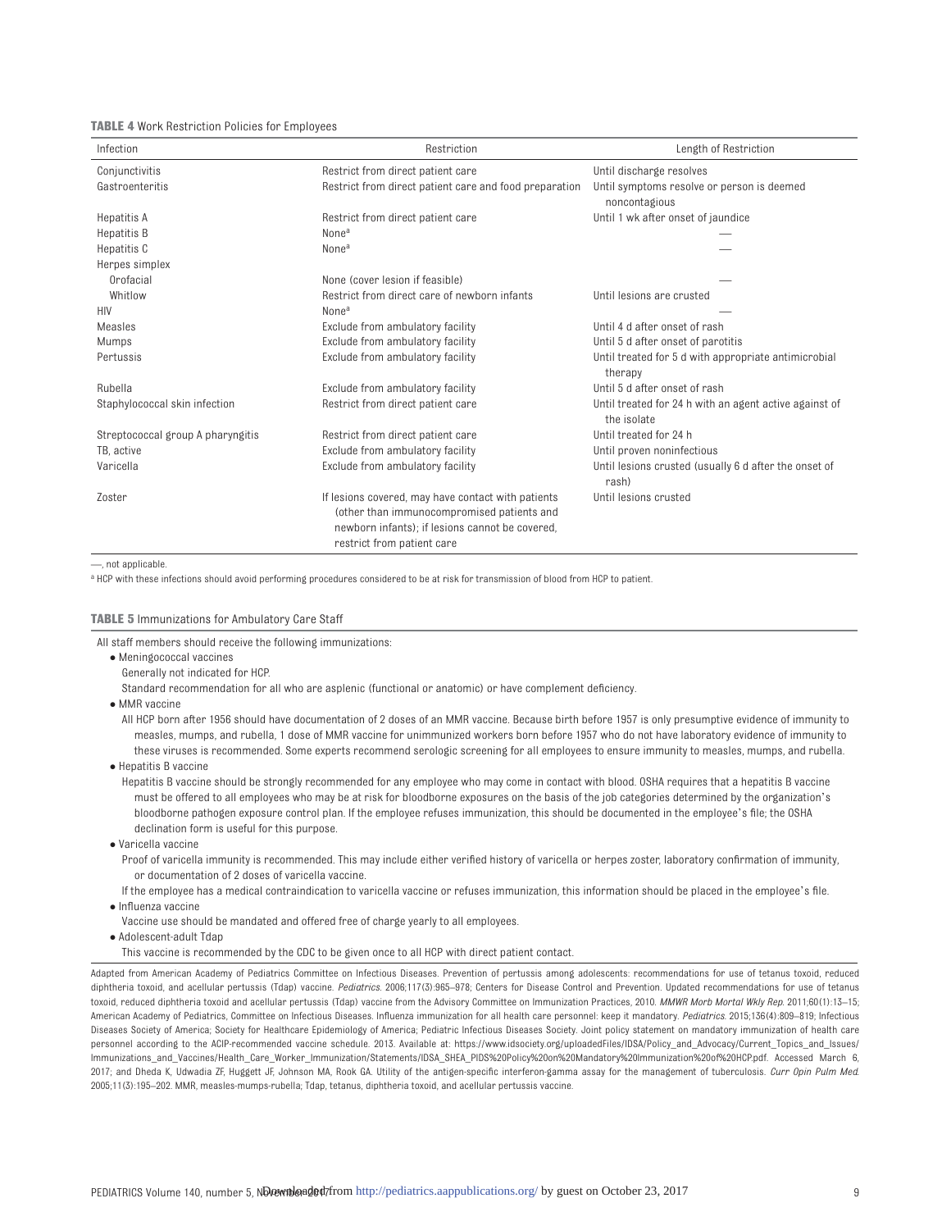**TABLE 4** Work Restriction Policies for Employees

| Infection                         | Restriction                                                                                                                                                                       | Length of Restriction                                                 |
|-----------------------------------|-----------------------------------------------------------------------------------------------------------------------------------------------------------------------------------|-----------------------------------------------------------------------|
| Conjunctivitis                    | Restrict from direct patient care                                                                                                                                                 | Until discharge resolves                                              |
| Gastroenteritis                   | Restrict from direct patient care and food preparation                                                                                                                            | Until symptoms resolve or person is deemed<br>noncontagious           |
| Hepatitis A                       | Restrict from direct patient care                                                                                                                                                 | Until 1 wk after onset of jaundice                                    |
| Hepatitis B                       | None <sup>a</sup>                                                                                                                                                                 |                                                                       |
| Hepatitis C                       | Nonea                                                                                                                                                                             |                                                                       |
| Herpes simplex                    |                                                                                                                                                                                   |                                                                       |
| Orofacial                         | None (cover lesion if feasible)                                                                                                                                                   |                                                                       |
| Whitlow                           | Restrict from direct care of newborn infants                                                                                                                                      | Until lesions are crusted                                             |
| <b>HIV</b>                        | None <sup>a</sup>                                                                                                                                                                 |                                                                       |
| Measles                           | Exclude from ambulatory facility                                                                                                                                                  | Until 4 d after onset of rash                                         |
| Mumps                             | Exclude from ambulatory facility                                                                                                                                                  | Until 5 d after onset of parotitis                                    |
| Pertussis                         | Exclude from ambulatory facility                                                                                                                                                  | Until treated for 5 d with appropriate antimicrobial<br>therapy       |
| Rubella                           | Exclude from ambulatory facility                                                                                                                                                  | Until 5 d after onset of rash                                         |
| Staphylococcal skin infection     | Restrict from direct patient care                                                                                                                                                 | Until treated for 24 h with an agent active against of<br>the isolate |
| Streptococcal group A pharyngitis | Restrict from direct patient care                                                                                                                                                 | Until treated for 24 h                                                |
| TB, active                        | Exclude from ambulatory facility                                                                                                                                                  | Until proven noninfectious                                            |
| Varicella                         | Exclude from ambulatory facility                                                                                                                                                  | Until lesions crusted (usually 6 d after the onset of<br>rash)        |
| Zoster                            | If lesions covered, may have contact with patients<br>(other than immunocompromised patients and<br>newborn infants); if lesions cannot be covered,<br>restrict from patient care | Until lesions crusted                                                 |

—, not applicable.

a HCP with these infections should avoid performing procedures considered to be at risk for transmission of blood from HCP to patient.

**TABLE 5** Immunizations for Ambulatory Care Staff

All staff members should receive the following immunizations:

- $\bullet$  Meningococcal vaccines Generally not indicated for HCP.
- Standard recommendation for all who are asplenic (functional or anatomic) or have complement deficiency.
- MMR vaccine

 All HCP born after 1956 should have documentation of 2 doses of an MMR vaccine. Because birth before 1957 is only presumptive evidence of immunity to measles, mumps, and rubella, 1 dose of MMR vaccine for unimmunized workers born before 1957 who do not have laboratory evidence of immunity to these viruses is recommended. Some experts recommend serologic screening for all employees to ensure immunity to measles, mumps, and rubella.

̭ Hepatitis B vaccine

 Hepatitis B vaccine should be strongly recommended for any employee who may come in contact with blood. OSHA requires that a hepatitis B vaccine must be offered to all employees who may be at risk for bloodborne exposures on the basis of the job categories determined by the organization's bloodborne pathogen exposure control plan. If the employee refuses immunization, this should be documented in the employee's file; the OSHA declination form is useful for this purpose.

̭ Varicella vaccine

 Proof of varicella immunity is recommended. This may include either verified history of varicella or herpes zoster, laboratory confirmation of immunity, or documentation of 2 doses of varicella vaccine.

If the employee has a medical contraindication to varicella vaccine or refuses immunization, this information should be placed in the employee's file.

̭ Influenza vaccine

Vaccine use should be mandated and offered free of charge yearly to all employees.

̭ Adolescent-adult Tdap

This vaccine is recommended by the CDC to be given once to all HCP with direct patient contact.

Adapted from American Academy of Pediatrics Committee on Infectious Diseases. Prevention of pertussis among adolescents: recommendations for use of tetanus toxoid, reduced diphtheria toxoid, and acellular pertussis (Tdap) vaccine. *Pediatrics*. 2006;117(3):965–978; Centers for Disease Control and Prevention. Updated recommendations for use of tetanus toxoid, reduced diphtheria toxoid and acellular pertussis (Tdap) vaccine from the Advisory Committee on Immunization Practices, 2010. *MMWR Morb Mortal Wkly Rep*. 2011;60(1):13–15; American Academy of Pediatrics, Committee on Infectious Diseases. Influenza immunization for all health care personnel: keep it mandatory. *Pediatrics*. 2015;136(4):809–819; Infectious Diseases Society of America; Society for Healthcare Epidemiology of America; Pediatric Infectious Diseases Society. Joint policy statement on mandatory immunization of health care personnel according to the ACIP-recommended vaccine schedule. 2013. Available at: https://www.idsociety.org/uploadedFiles/IDSA/Policy\_and\_Advocacy/Current\_Topics\_and\_Issues/ Immunizations\_ and\_ Vaccines/ Health\_ Care\_ Worker\_ Immunization/ Statements/ IDSA\_ SHEA\_ PIDS%20 Policy%20 on%20 Mandatory%20 Immunization%20 of%20 HCP. pdf. Accessed March 6, 2017; and Dheda K, Udwadia ZF, Huggett JF, Johnson MA, Rook GA. Utility of the antigen-specific interferon-gamma assay for the management of tuberculosis. *Curr Opin Pulm Med*. 2005;11(3):195–202. MMR, measles-mumps-rubella; Tdap, tetanus, diphtheria toxoid, and acellular pertussis vaccine.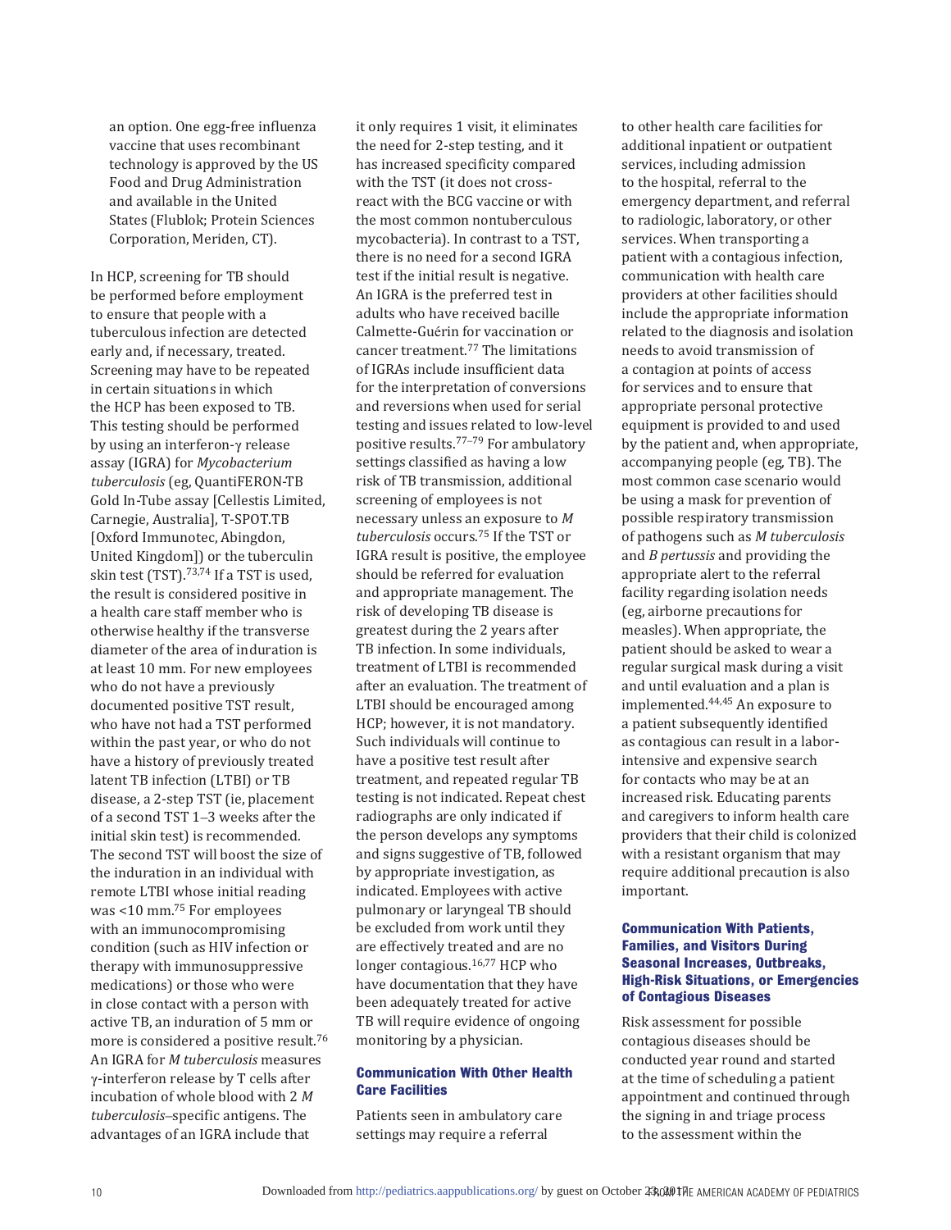an option. One egg-free influenza vaccine that uses recombinant technology is approved by the US Food and Drug Administration and available in the United States (Flublok; Protein Sciences Corporation, Meriden, CT).

In HCP, screening for TB should be performed before employment to ensure that people with a tuberculous infection are detected early and, if necessary, treated. Screening may have to be repeated in certain situations in which the HCP has been exposed to TB. This testing should be performed by using an interferon-γ release assay (IGRA) for *Mycobacterium tuberculosis* (eg, QuantiFERON-TB Gold In-Tube assay [Cellestis Limited, Carnegie, Australia], T-SPOT.TB [Oxford Immunotec, Abingdon, United Kingdom]) or the tuberculin skin test (TST).<sup>73,74</sup> If a TST is used, the result is considered positive in a health care staff member who is otherwise healthy if the transverse diameter of the area of induration is at least 10 mm. For new employees who do not have a previously documented positive TST result, who have not had a TST performed within the past year, or who do not have a history of previously treated latent TB infection (LTBI) or TB disease, a 2-step TST (ie, placement of a second TST 1–3 weeks after the initial skin test) is recommended. The second TST will boost the size of the induration in an individual with remote LTBI whose initial reading was <10 mm.75 For employees with an immunocompromising condition (such as HIV infection or therapy with immunosuppressive medications) or those who were in close contact with a person with active TB, an induration of 5 mm or more is considered a positive result. 76 An IGRA for *M tuberculosis* measures γ-interferon release by T cells after incubation of whole blood with 2 *M tuberculosis*–specific antigens. The advantages of an IGRA include that

it only requires 1 visit, it eliminates the need for 2-step testing, and it has increased specificity compared with the TST (it does not crossreact with the BCG vaccine or with the most common nontuberculous mycobacteria). In contrast to a TST, there is no need for a second IGRA test if the initial result is negative. An IGRA is the preferred test in adults who have received bacille Calmette-Guérin for vaccination or cancer treatment.77 The limitations of IGRAs include insufficient data for the interpretation of conversions and reversions when used for serial testing and issues related to low-level positive results.77–79 For ambulatory settings classified as having a low risk of TB transmission, additional screening of employees is not necessary unless an exposure to *M tuberculosis* occurs.75 If the TST or IGRA result is positive, the employee should be referred for evaluation and appropriate management. The risk of developing TB disease is greatest during the 2 years after TB infection. In some individuals, treatment of LTBI is recommended after an evaluation. The treatment of LTBI should be encouraged among HCP; however, it is not mandatory. Such individuals will continue to have a positive test result after treatment, and repeated regular TB testing is not indicated. Repeat chest radiographs are only indicated if the person develops any symptoms and signs suggestive of TB, followed by appropriate investigation, as indicated. Employees with active pulmonary or laryngeal TB should be excluded from work until they are effectively treated and are no longer contagious.<sup>16,77</sup> HCP who have documentation that they have been adequately treated for active TB will require evidence of ongoing monitoring by a physician.

# **Communication With Other Health Care Facilities**

Patients seen in ambulatory care settings may require a referral

to other health care facilities for additional inpatient or outpatient services, including admission to the hospital, referral to the emergency department, and referral to radiologic, laboratory, or other services. When transporting a patient with a contagious infection, communication with health care providers at other facilities should include the appropriate information related to the diagnosis and isolation needs to avoid transmission of a contagion at points of access for services and to ensure that appropriate personal protective equipment is provided to and used by the patient and, when appropriate, accompanying people (eg, TB). The most common case scenario would be using a mask for prevention of possible respiratory transmission of pathogens such as *M tuberculosis* and *B pertussis* and providing the appropriate alert to the referral facility regarding isolation needs (eg, airborne precautions for measles). When appropriate, the patient should be asked to wear a regular surgical mask during a visit and until evaluation and a plan is implemented.<sup>44,45</sup> An exposure to a patient subsequently identified as contagious can result in a laborintensive and expensive search for contacts who may be at an increased risk. Educating parents and caregivers to inform health care providers that their child is colonized with a resistant organism that may require additional precaution is also important.

## **Communication With Patients, Families, and Visitors During Seasonal Increases, Outbreaks, High-Risk Situations, or Emergencies of Contagious Diseases**

Risk assessment for possible contagious diseases should be conducted year round and started at the time of scheduling a patient appointment and continued through the signing in and triage process to the assessment within the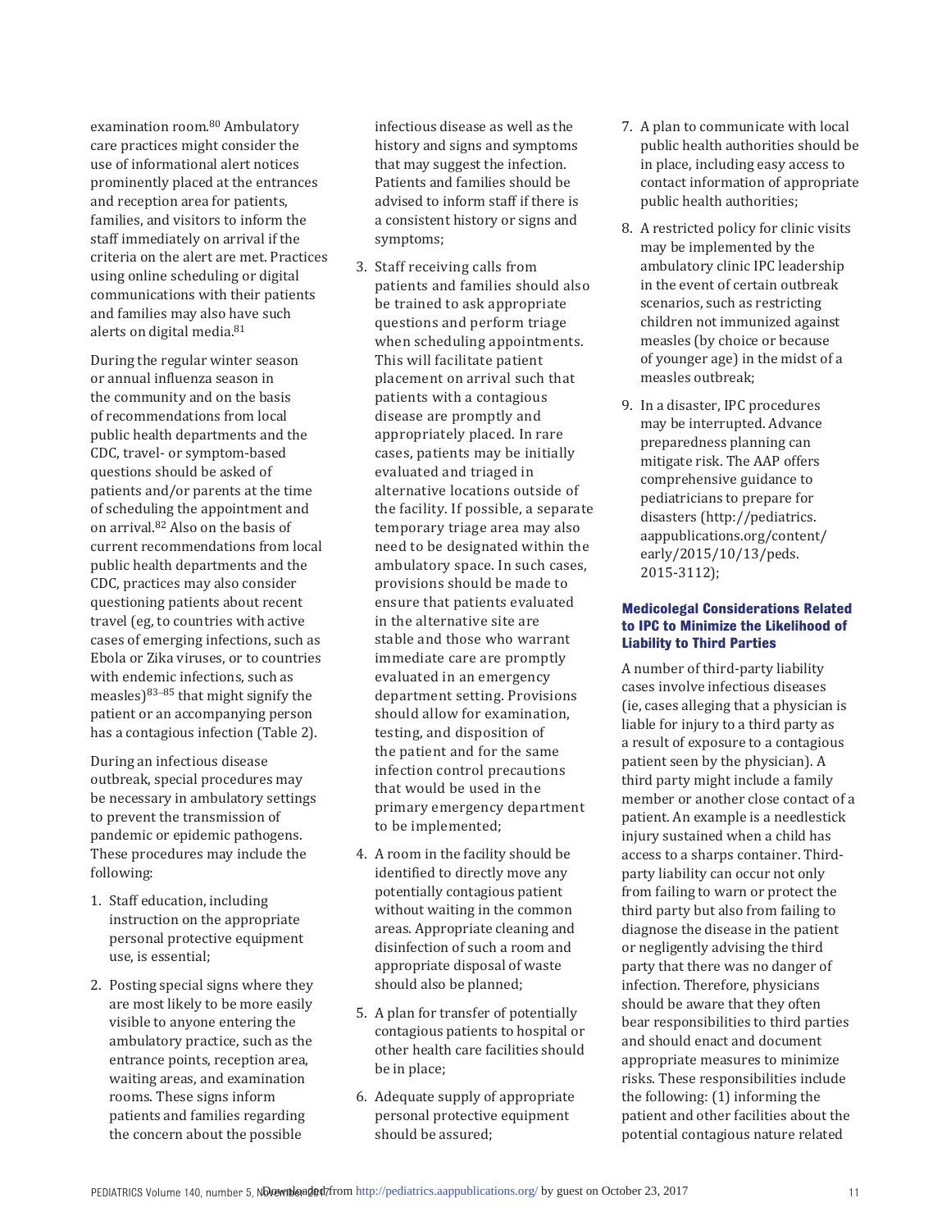examination room.80 Ambulatory care practices might consider the use of informational alert notices prominently placed at the entrances and reception area for patients, families, and visitors to inform the staff immediately on arrival if the criteria on the alert are met. Practices using online scheduling or digital communications with their patients and families may also have such alerts on digital media.81

During the regular winter season or annual influenza season in the community and on the basis of recommendations from local public health departments and the CDC, travel- or symptom-based questions should be asked of patients and/or parents at the time of scheduling the appointment and on arrival.82 Also on the basis of current recommendations from local public health departments and the CDC, practices may also consider questioning patients about recent travel (eg, to countries with active cases of emerging infections, such as Ebola or Zika viruses, or to countries with endemic infections, such as measles) $83-85$  that might signify the patient or an accompanying person has a contagious infection (Table 2).

During an infectious disease outbreak, special procedures may be necessary in ambulatory settings to prevent the transmission of pandemic or epidemic pathogens. These procedures may include the following:

- 1. Staff education, including instruction on the appropriate personal protective equipment use, is essential;
- 2. Posting special signs where they are most likely to be more easily visible to anyone entering the ambulatory practice, such as the entrance points, reception area, waiting areas, and examination rooms. These signs inform patients and families regarding the concern about the possible

infectious disease as well as the history and signs and symptoms that may suggest the infection. Patients and families should be advised to inform staff if there is a consistent history or signs and symptoms;

- 3. Staff receiving calls from patients and families should also be trained to ask appropriate questions and perform triage when scheduling appointments. This will facilitate patient placement on arrival such that patients with a contagious disease are promptly and appropriately placed. In rare cases, patients may be initially evaluated and triaged in alternative locations outside of the facility. If possible, a separate temporary triage area may also need to be designated within the ambulatory space. In such cases, provisions should be made to ensure that patients evaluated in the alternative site are stable and those who warrant immediate care are promptly evaluated in an emergency department setting. Provisions should allow for examination, testing, and disposition of the patient and for the same infection control precautions that would be used in the primary emergency department to be implemented;
- 4. A room in the facility should be identified to directly move any potentially contagious patient without waiting in the common areas. Appropriate cleaning and disinfection of such a room and appropriate disposal of waste should also be planned;
- 5. A plan for transfer of potentially contagious patients to hospital or other health care facilities should be in place;
- 6. Adequate supply of appropriate personal protective equipment should be assured;
- 7. A plan to communicate with local public health authorities should be in place, including easy access to contact information of appropriate public health authorities;
- 8. A restricted policy for clinic visits may be implemented by the ambulatory clinic IPC leadership in the event of certain outbreak scenarios, such as restricting children not immunized against measles (by choice or because of younger age) in the midst of a measles outbreak;
- 9. In a disaster, IPC procedures may be interrupted. Advance preparedness planning can mitigate risk. The AAP offers comprehensive guidance to pediatricians to prepare for disasters (http:// pediatrics. aappublications.org/content/ early/2015/10/13/peds. 2015- 3112);

# **Medicolegal Considerations Related to IPC to Minimize the Likelihood of Liability to Third Parties**

A number of third-party liability cases involve infectious diseases (ie, cases alleging that a physician is liable for injury to a third party as a result of exposure to a contagious patient seen by the physician). A third party might include a family member or another close contact of a patient. An example is a needlestick injury sustained when a child has access to a sharps container. Thirdparty liability can occur not only from failing to warn or protect the third party but also from failing to diagnose the disease in the patient or negligently advising the third party that there was no danger of infection. Therefore, physicians should be aware that they often bear responsibilities to third parties and should enact and document appropriate measures to minimize risks. These responsibilities include the following: (1) informing the patient and other facilities about the potential contagious nature related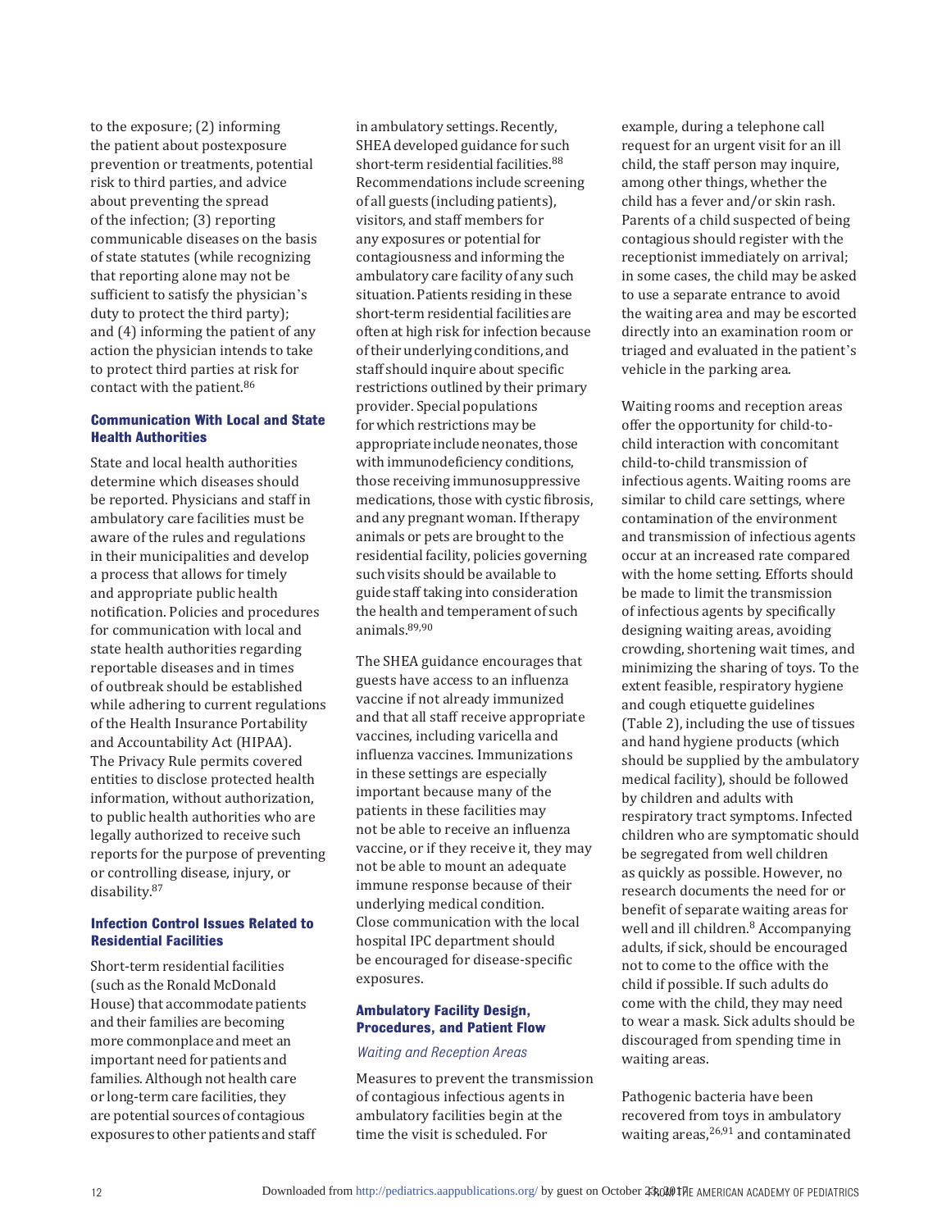to the exposure; (2) informing the patient about postexposure prevention or treatments, potential risk to third parties, and advice about preventing the spread of the infection; (3) reporting communicable diseases on the basis of state statutes (while recognizing that reporting alone may not be sufficient to satisfy the physician's duty to protect the third party); and (4) informing the patient of any action the physician intends to take to protect third parties at risk for contact with the patient.<sup>86</sup>

# **Communication With Local and State Health Authorities**

State and local health authorities determine which diseases should be reported. Physicians and staff in ambulatory care facilities must be aware of the rules and regulations in their municipalities and develop a process that allows for timely and appropriate public health notification. Policies and procedures for communication with local and state health authorities regarding reportable diseases and in times of outbreak should be established while adhering to current regulations of the Health Insurance Portability and Accountability Act (HIPAA). The Privacy Rule permits covered entities to disclose protected health information, without authorization, to public health authorities who are legally authorized to receive such reports for the purpose of preventing or controlling disease, injury, or disability.87

#### **Infection Control Issues Related to Residential Facilities**

Short-term residential facilities (such as the Ronald McDonald House) that accommodate patients and their families are becoming more commonplace and meet an important need for patients and families. Although not health care or long-term care facilities, they are potential sources of contagious exposures to other patients and staff in ambulatory settings. Recently, SHEA developed guidance for such short-term residential facilities.88 Recommendations include screening of all guests (including patients), visitors, and staff members for any exposures or potential for contagiousness and informing the ambulatory care facility of any such situation. Patients residing in these short-term residential facilities are often at high risk for infection because of their underlying conditions, and staff should inquire about specific restrictions outlined by their primary provider. Special populations for which restrictions may be appropriate include neonates, those with immunodeficiency conditions, those receiving immunosuppressive medications, those with cystic fibrosis, and any pregnant woman. If therapy animals or pets are brought to the residential facility, policies governing such visits should be available to guide staff taking into consideration the health and temperament of such animals.89, 90

The SHEA guidance encourages that guests have access to an influenza vaccine if not already immunized and that all staff receive appropriate vaccines, including varicella and influenza vaccines. Immunizations in these settings are especially important because many of the patients in these facilities may not be able to receive an influenza vaccine, or if they receive it, they may not be able to mount an adequate immune response because of their underlying medical condition. Close communication with the local hospital IPC department should be encouraged for disease-specific exposures.

# **Ambulatory Facility Design, Procedures, and Patient Flow**

## *Waiting and Reception Areas*

Measures to prevent the transmission of contagious infectious agents in ambulatory facilities begin at the time the visit is scheduled. For

example, during a telephone call request for an urgent visit for an ill child, the staff person may inquire, among other things, whether the child has a fever and/or skin rash. Parents of a child suspected of being contagious should register with the receptionist immediately on arrival; in some cases, the child may be asked to use a separate entrance to avoid the waiting area and may be escorted directly into an examination room or triaged and evaluated in the patient's vehicle in the parking area.

Waiting rooms and reception areas offer the opportunity for child-tochild interaction with concomitant child-to-child transmission of infectious agents. Waiting rooms are similar to child care settings, where contamination of the environment and transmission of infectious agents occur at an increased rate compared with the home setting. Efforts should be made to limit the transmission of infectious agents by specifically designing waiting areas, avoiding crowding, shortening wait times, and minimizing the sharing of toys. To the extent feasible, respiratory hygiene and cough etiquette guidelines (Table 2), including the use of tissues and hand hygiene products (which should be supplied by the ambulatory medical facility), should be followed by children and adults with respiratory tract symptoms. Infected children who are symptomatic should be segregated from well children as quickly as possible. However, no research documents the need for or benefit of separate waiting areas for well and ill children.<sup>8</sup> Accompanying adults, if sick, should be encouraged not to come to the office with the child if possible. If such adults do come with the child, they may need to wear a mask. Sick adults should be discouraged from spending time in waiting areas.

Pathogenic bacteria have been recovered from toys in ambulatory waiting areas, $26,91$  and contaminated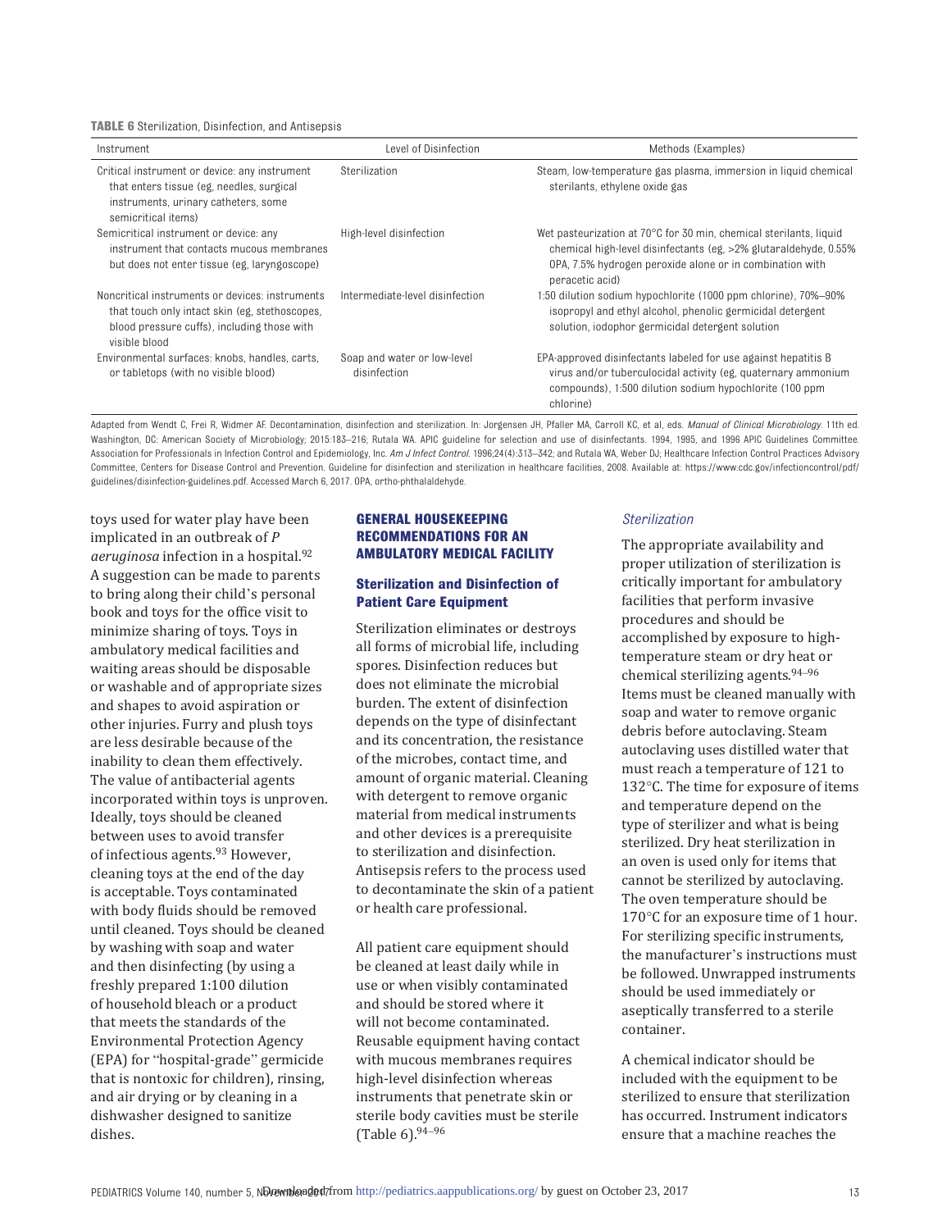**TABLE 6** Sterilization, Disinfection, and Antisepsis

| Instrument                                                                                                                                                        | Level of Disinfection                       | Methods (Examples)                                                                                                                                                                                                              |
|-------------------------------------------------------------------------------------------------------------------------------------------------------------------|---------------------------------------------|---------------------------------------------------------------------------------------------------------------------------------------------------------------------------------------------------------------------------------|
| Critical instrument or device: any instrument<br>that enters tissue (eg. needles, surgical<br>instruments, urinary catheters, some<br>semicritical items)         | Sterilization                               | Steam, low-temperature gas plasma, immersion in liquid chemical<br>sterilants, ethylene oxide gas                                                                                                                               |
| Semicritical instrument or device: any<br>instrument that contacts mucous membranes<br>but does not enter tissue (eg, laryngoscope)                               | High-level disinfection                     | Wet pasteurization at $70^{\circ}$ C for 30 min, chemical sterilants, liquid<br>chemical high-level disinfectants (eg. >2% glutaraldehyde, 0.55%<br>OPA, 7.5% hydrogen peroxide alone or in combination with<br>peracetic acid) |
| Noncritical instruments or devices: instruments<br>that touch only intact skin (eg, stethoscopes,<br>blood pressure cuffs), including those with<br>visible blood | Intermediate-level disinfection             | 1:50 dilution sodium hypochlorite (1000 ppm chlorine), 70%-90%<br>isopropyl and ethyl alcohol, phenolic germicidal detergent<br>solution, iodophor germicidal detergent solution                                                |
| Environmental surfaces: knobs, handles, carts,<br>or tabletops (with no visible blood)                                                                            | Soap and water or low-level<br>disinfection | EPA-approved disinfectants labeled for use against hepatitis B<br>virus and/or tuberculocidal activity (eg. quaternary ammonium<br>compounds), 1:500 dilution sodium hypochlorite (100 ppm<br>chlorine)                         |

Adapted from Wendt C, Frei R, Widmer AF. Decontamination, disinfection and sterilization. In: Jorgensen JH, Pfaller MA, Carroll KC, et al, eds. *Manual of Clinical Microbiology*. 11th ed. Washington, DC: American Society of Microbiology; 2015:183-216; Rutala WA. APIC guideline for selection and use of disinfectants. 1994, 1995, and 1996 APIC Guidelines Committee. Association for Professionals in Infection Control and Epidemiology, Inc. *Am J Infect Control*. 1996;24(4):313–342; and Rutala WA, Weber DJ; Healthcare Infection Control Practices Advisory Committee, Centers for Disease Control and Prevention. Guideline for disinfection and sterilization in healthcare facilities, 2008. Available at: https://www.cdc.gov/infectioncontrol/pdf/ guidelines/disinfection-guidelines.pdf. Accessed March 6, 2017. OPA, ortho-phthalaldehyde.

toys used for water play have been implicated in an outbreak of *P aeruginosa* infection in a hospital.92 A suggestion can be made to parents to bring along their child's personal book and toys for the office visit to minimize sharing of toys. Toys in ambulatory medical facilities and waiting areas should be disposable or washable and of appropriate sizes and shapes to avoid aspiration or other injuries. Furry and plush toys are less desirable because of the inability to clean them effectively. The value of antibacterial agents incorporated within toys is unproven. Ideally, toys should be cleaned between uses to avoid transfer of infectious agents.<sup>93</sup> However, cleaning toys at the end of the day is acceptable. Toys contaminated with body fluids should be removed until cleaned. Toys should be cleaned by washing with soap and water and then disinfecting (by using a freshly prepared 1:100 dilution of household bleach or a product that meets the standards of the Environmental Protection Agency (EPA) for "hospital-grade" germicide that is nontoxic for children), rinsing, and air drying or by cleaning in a dishwasher designed to sanitize dishes.

#### **GENERAL HOUSEKEEPING RECOMMENDATIONS FOR AN AMBULATORY MEDICAL FACILITY**

# **Sterilization and Disinfection of Patient Care Equipment**

Sterilization eliminates or destroys all forms of microbial life, including spores. Disinfection reduces but does not eliminate the microbial burden. The extent of disinfection depends on the type of disinfectant and its concentration, the resistance of the microbes, contact time, and amount of organic material. Cleaning with detergent to remove organic material from medical instruments and other devices is a prerequisite to sterilization and disinfection. Antisepsis refers to the process used to decontaminate the skin of a patient or health care professional.

All patient care equipment should be cleaned at least daily while in use or when visibly contaminated and should be stored where it will not become contaminated. Reusable equipment having contact with mucous membranes requires high-level disinfection whereas instruments that penetrate skin or sterile body cavities must be sterile (Table 6).94–<sup>96</sup>

#### *Sterilization*

The appropriate availability and proper utilization of sterilization is critically important for ambulatory facilities that perform invasive procedures and should be accomplished by exposure to hightemperature steam or dry heat or chemical sterilizing agents.<sup>94-96</sup> Items must be cleaned manually with soap and water to remove organic debris before autoclaving. Steam autoclaving uses distilled water that must reach a temperature of 121 to 132°C. The time for exposure of items and temperature depend on the type of sterilizer and what is being sterilized. Dry heat sterilization in an oven is used only for items that cannot be sterilized by autoclaving. The oven temperature should be 170°C for an exposure time of 1 hour. For sterilizing specific instruments, the manufacturer's instructions must be followed. Unwrapped instruments should be used immediately or aseptically transferred to a sterile container.

A chemical indicator should be included with the equipment to be sterilized to ensure that sterilization has occurred. Instrument indicators ensure that a machine reaches the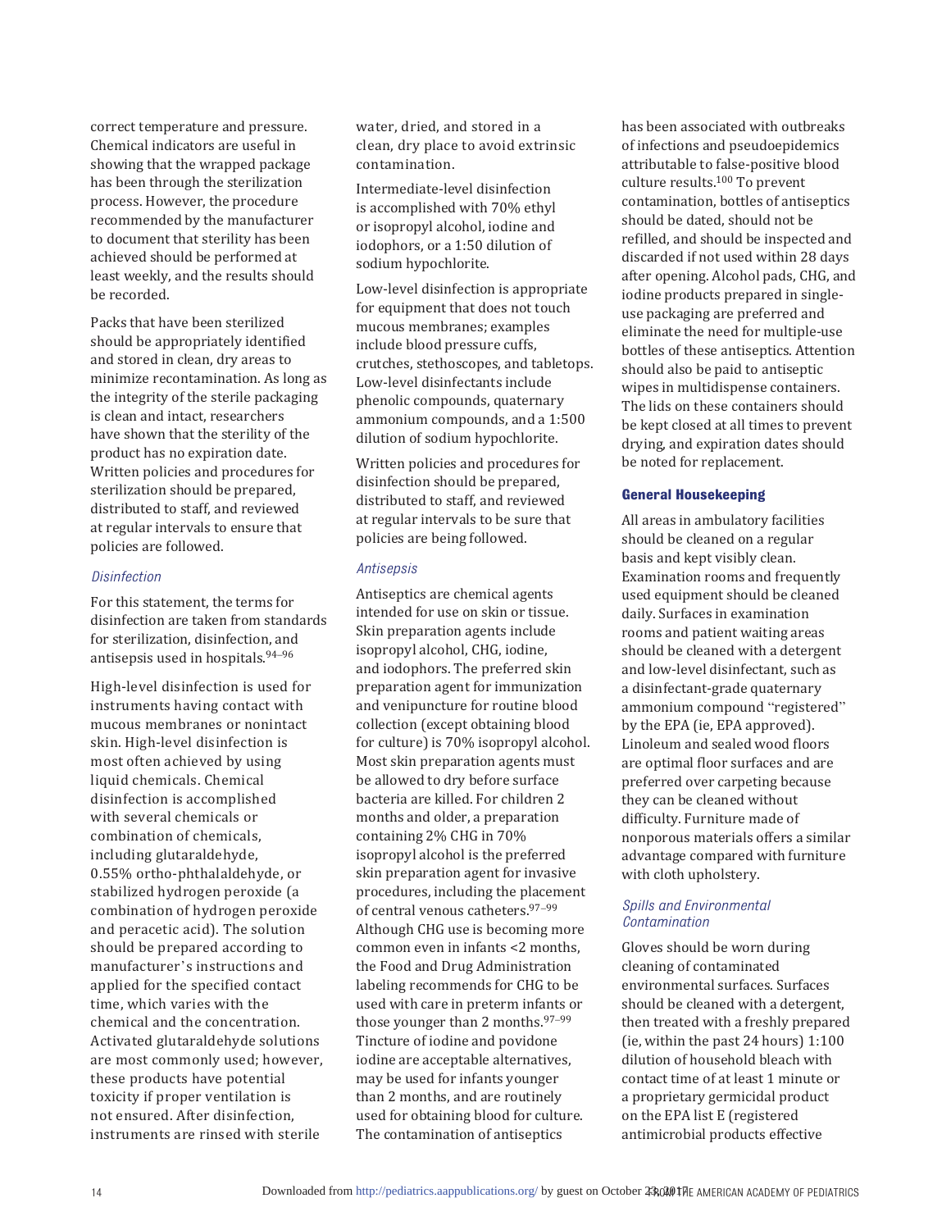correct temperature and pressure. Chemical indicators are useful in showing that the wrapped package has been through the sterilization process. However, the procedure recommended by the manufacturer to document that sterility has been achieved should be performed at least weekly, and the results should be recorded.

Packs that have been sterilized should be appropriately identified and stored in clean, dry areas to minimize recontamination. As long as the integrity of the sterile packaging is clean and intact, researchers have shown that the sterility of the product has no expiration date. Written policies and procedures for sterilization should be prepared, distributed to staff, and reviewed at regular intervals to ensure that policies are followed.

## *Disinfection*

For this statement, the terms for disinfection are taken from standards for sterilization, disinfection, and antisepsis used in hospitals.94–<sup>96</sup>

High-level disinfection is used for instruments having contact with mucous membranes or nonintact skin. High-level disinfection is most often achieved by using liquid chemicals. Chemical disinfection is accomplished with several chemicals or combination of chemicals, including glutaraldehyde, 0.55% ortho-phthalaldehyde, or stabilized hydrogen peroxide (a combination of hydrogen peroxide and peracetic acid). The solution should be prepared according to manufacturer's instructions and applied for the specified contact time, which varies with the chemical and the concentration. Activated glutaraldehyde solutions are most commonly used; however, these products have potential toxicity if proper ventilation is not ensured. After disinfection, instruments are rinsed with sterile

water, dried, and stored in a clean, dry place to avoid extrinsic contamination.

Intermediate-level disinfection is accomplished with 70% ethyl or isopropyl alcohol, iodine and iodophors, or a 1:50 dilution of sodium hypochlorite.

Low-level disinfection is appropriate for equipment that does not touch mucous membranes; examples include blood pressure cuffs, crutches, stethoscopes, and tabletops. Low-level disinfectants include phenolic compounds, quaternary ammonium compounds, and a 1:500 dilution of sodium hypochlorite.

Written policies and procedures for disinfection should be prepared, distributed to staff, and reviewed at regular intervals to be sure that policies are being followed.

# *Antisepsis*

Antiseptics are chemical agents intended for use on skin or tissue. Skin preparation agents include isopropyl alcohol, CHG, iodine, and iodophors. The preferred skin preparation agent for immunization and venipuncture for routine blood collection (except obtaining blood for culture) is 70% isopropyl alcohol. Most skin preparation agents must be allowed to dry before surface bacteria are killed. For children 2 months and older, a preparation containing 2% CHG in 70% isopropyl alcohol is the preferred skin preparation agent for invasive procedures, including the placement of central venous catheters. 97–99 Although CHG use is becoming more common even in infants <2 months, the Food and Drug Administration labeling recommends for CHG to be used with care in preterm infants or those younger than 2 months.97–<sup>99</sup> Tincture of iodine and povidone iodine are acceptable alternatives, may be used for infants younger than 2 months, and are routinely used for obtaining blood for culture. The contamination of antiseptics

has been associated with outbreaks of infections and pseudoepidemics attributable to false-positive blood culture results.100 To prevent contamination, bottles of antiseptics should be dated, should not be refilled, and should be inspected and discarded if not used within 28 days after opening. Alcohol pads, CHG, and iodine products prepared in singleuse packaging are preferred and eliminate the need for multiple-use bottles of these antiseptics. Attention should also be paid to antiseptic wipes in multidispense containers. The lids on these containers should be kept closed at all times to prevent drying, and expiration dates should be noted for replacement.

## **General Housekeeping**

All areas in ambulatory facilities should be cleaned on a regular basis and kept visibly clean. Examination rooms and frequently used equipment should be cleaned daily. Surfaces in examination rooms and patient waiting areas should be cleaned with a detergent and low-level disinfectant, such as a disinfectant-grade quaternary ammonium compound "registered" by the EPA (ie, EPA approved). Linoleum and sealed wood floors are optimal floor surfaces and are preferred over carpeting because they can be cleaned without difficulty. Furniture made of nonporous materials offers a similar advantage compared with furniture with cloth upholstery.

## *Spills and Environmental Contamination*

Gloves should be worn during cleaning of contaminated environmental surfaces. Surfaces should be cleaned with a detergent, then treated with a freshly prepared (ie, within the past 24 hours) 1:100 dilution of household bleach with contact time of at least 1 minute or a proprietary germicidal product on the EPA list E (registered antimicrobial products effective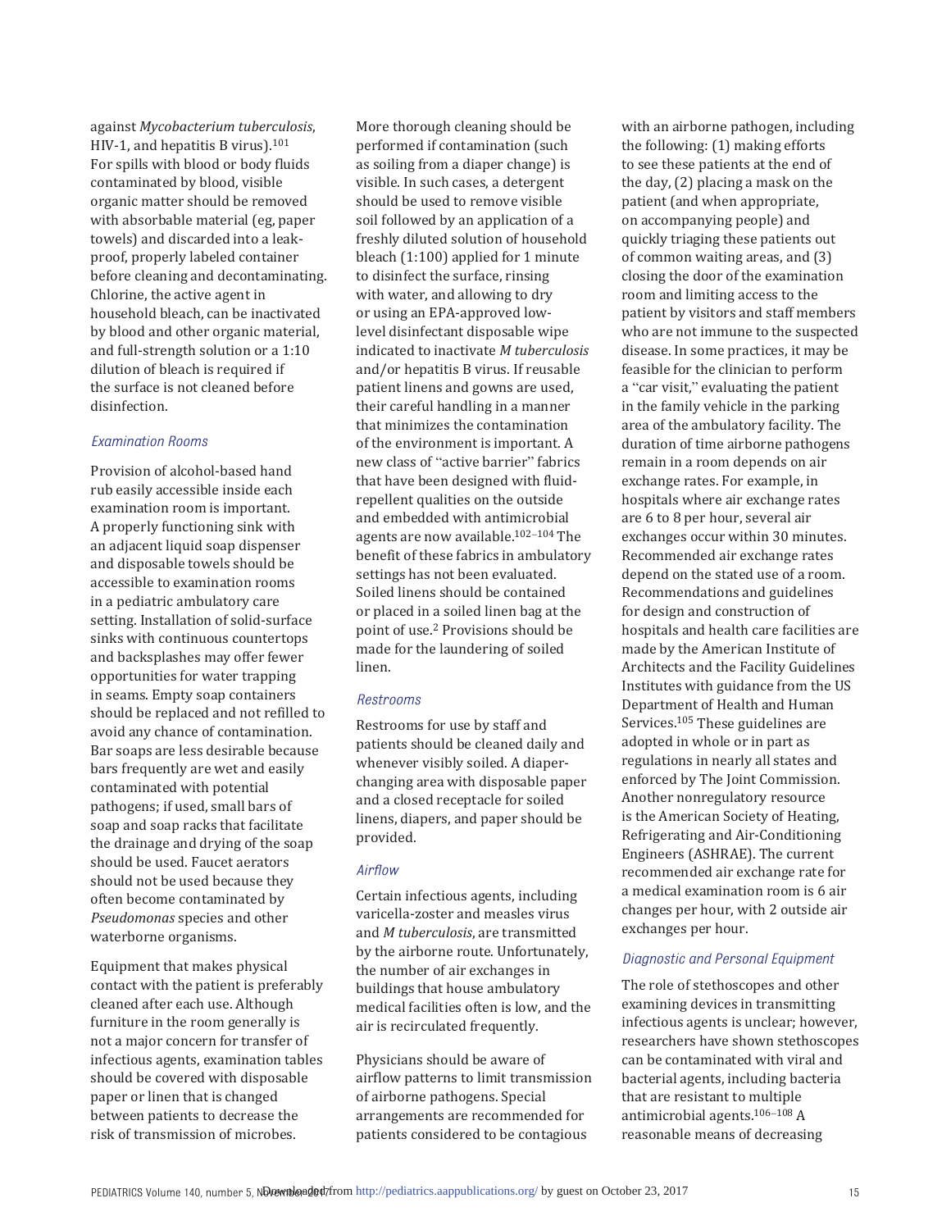against *Mycobacterium tuberculosis*, HIV-1, and hepatitis B virus).<sup>101</sup> For spills with blood or body fluids contaminated by blood, visible organic matter should be removed with absorbable material (eg, paper towels) and discarded into a leakproof, properly labeled container before cleaning and decontaminating. Chlorine, the active agent in household bleach, can be inactivated by blood and other organic material, and full-strength solution or a 1:10 dilution of bleach is required if the surface is not cleaned before disinfection.

#### *Examination Rooms*

Provision of alcohol-based hand rub easily accessible inside each examination room is important. A properly functioning sink with an adjacent liquid soap dispenser and disposable towels should be accessible to examination rooms in a pediatric ambulatory care setting. Installation of solid-surface sinks with continuous countertops and backsplashes may offer fewer opportunities for water trapping in seams. Empty soap containers should be replaced and not refilled to avoid any chance of contamination. Bar soaps are less desirable because bars frequently are wet and easily contaminated with potential pathogens; if used, small bars of soap and soap racks that facilitate the drainage and drying of the soap should be used. Faucet aerators should not be used because they often become contaminated by *Pseudomonas* species and other waterborne organisms.

Equipment that makes physical contact with the patient is preferably cleaned after each use. Although furniture in the room generally is not a major concern for transfer of infectious agents, examination tables should be covered with disposable paper or linen that is changed between patients to decrease the risk of transmission of microbes.

More thorough cleaning should be performed if contamination (such as soiling from a diaper change) is visible. In such cases, a detergent should be used to remove visible soil followed by an application of a freshly diluted solution of household bleach (1:100) applied for 1 minute to disinfect the surface, rinsing with water, and allowing to dry or using an EPA-approved lowlevel disinfectant disposable wipe indicated to inactivate *M tuberculosis* and/or hepatitis B virus. If reusable patient linens and gowns are used, their careful handling in a manner that minimizes the contamination of the environment is important. A new class of "active barrier" fabrics that have been designed with fluidrepellent qualities on the outside and embedded with antimicrobial agents are now available. <sup>102</sup>–104 The benefit of these fabrics in ambulatory settings has not been evaluated. Soiled linens should be contained or placed in a soiled linen bag at the point of use.2 Provisions should be made for the laundering of soiled linen.

## *Restrooms*

Restrooms for use by staff and patients should be cleaned daily and whenever visibly soiled. A diaperchanging area with disposable paper and a closed receptacle for soiled linens, diapers, and paper should be provided.

#### *Airflow*

Certain infectious agents, including varicella-zoster and measles virus and *M tuberculosis*, are transmitted by the airborne route. Unfortunately, the number of air exchanges in buildings that house ambulatory medical facilities often is low, and the air is recirculated frequently.

Physicians should be aware of airflow patterns to limit transmission of airborne pathogens. Special arrangements are recommended for patients considered to be contagious

with an airborne pathogen, including the following: (1) making efforts to see these patients at the end of the day, (2) placing a mask on the patient (and when appropriate, on accompanying people) and quickly triaging these patients out of common waiting areas, and (3) closing the door of the examination room and limiting access to the patient by visitors and staff members who are not immune to the suspected disease. In some practices, it may be feasible for the clinician to perform a "car visit," evaluating the patient in the family vehicle in the parking area of the ambulatory facility. The duration of time airborne pathogens remain in a room depends on air exchange rates. For example, in hospitals where air exchange rates are 6 to 8 per hour, several air exchanges occur within 30 minutes. Recommended air exchange rates depend on the stated use of a room. Recommendations and guidelines for design and construction of hospitals and health care facilities are made by the American Institute of Architects and the Facility Guidelines Institutes with guidance from the US Department of Health and Human Services.105 These guidelines are adopted in whole or in part as regulations in nearly all states and enforced by The Joint Commission. Another nonregulatory resource is the American Society of Heating, Refrigerating and Air-Conditioning Engineers (ASHRAE). The current recommended air exchange rate for a medical examination room is 6 air changes per hour, with 2 outside air exchanges per hour.

## *Diagnostic and Personal Equipment*

The role of stethoscopes and other examining devices in transmitting infectious agents is unclear; however, researchers have shown stethoscopes can be contaminated with viral and bacterial agents, including bacteria that are resistant to multiple antimicrobial agents.106–108 A reasonable means of decreasing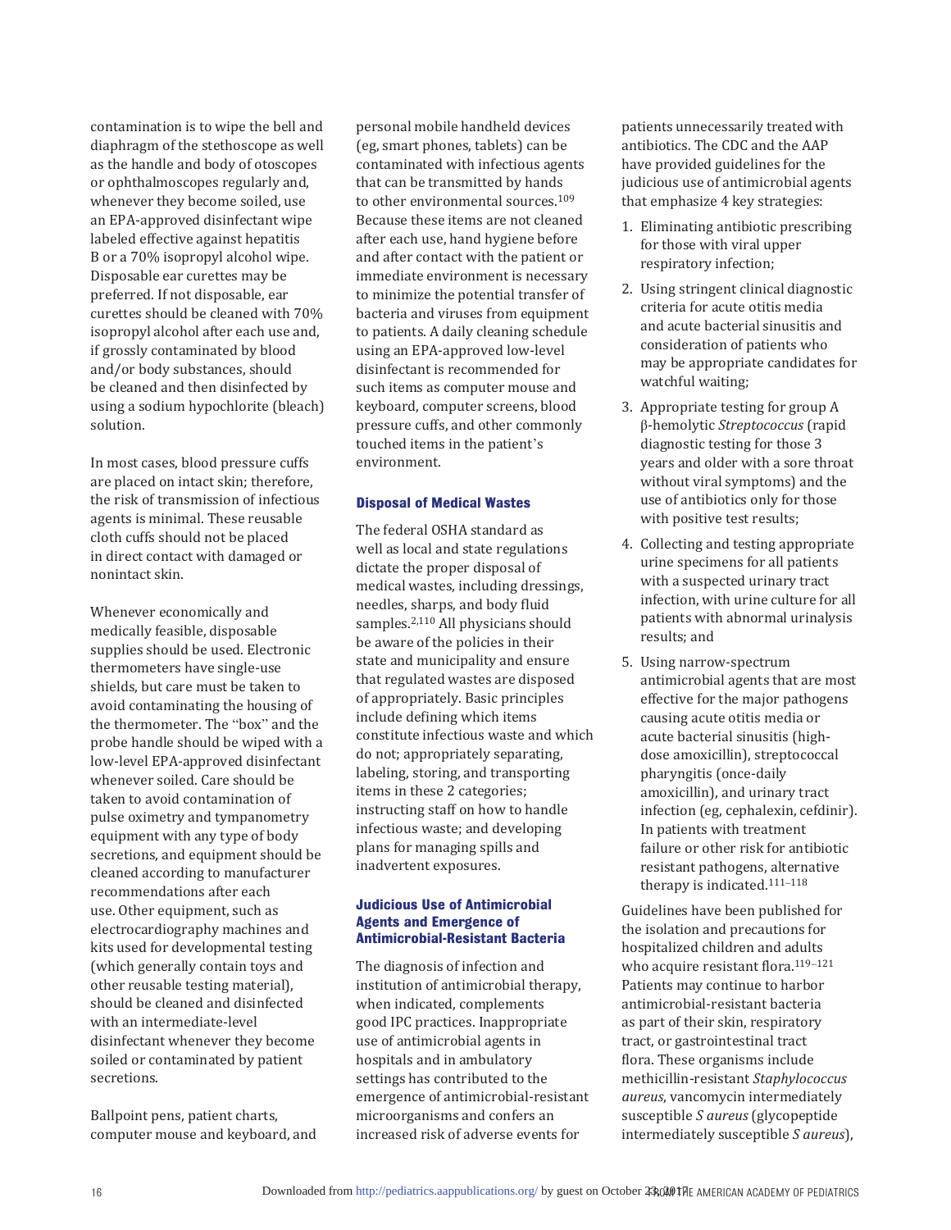contamination is to wipe the bell and diaphragm of the stethoscope as well as the handle and body of otoscopes or ophthalmoscopes regularly and, whenever they become soiled, use an EPA-approved disinfectant wipe labeled effective against hepatitis B or a 70% isopropyl alcohol wipe. Disposable ear curettes may be preferred. If not disposable, ear curettes should be cleaned with 70% isopropyl alcohol after each use and, if grossly contaminated by blood and/or body substances, should be cleaned and then disinfected by using a sodium hypochlorite (bleach) solution.

In most cases, blood pressure cuffs are placed on intact skin; therefore, the risk of transmission of infectious agents is minimal. These reusable cloth cuffs should not be placed in direct contact with damaged or nonintact skin.

Whenever economically and medically feasible, disposable supplies should be used. Electronic thermometers have single-use shields, but care must be taken to avoid contaminating the housing of the thermometer. The "box" and the probe handle should be wiped with a low-level EPA-approved disinfectant whenever soiled. Care should be taken to avoid contamination of pulse oximetry and tympanometry equipment with any type of body secretions, and equipment should be cleaned according to manufacturer recommendations after each use. Other equipment, such as electrocardiography machines and kits used for developmental testing (which generally contain toys and other reusable testing material), should be cleaned and disinfected with an intermediate-level disinfectant whenever they become soiled or contaminated by patient secretions.

Ballpoint pens, patient charts, computer mouse and keyboard, and personal mobile handheld devices (eg, smart phones, tablets) can be contaminated with infectious agents that can be transmitted by hands to other environmental sources. 109 Because these items are not cleaned after each use, hand hygiene before and after contact with the patient or immediate environment is necessary to minimize the potential transfer of bacteria and viruses from equipment to patients. A daily cleaning schedule using an EPA-approved low-level disinfectant is recommended for such items as computer mouse and keyboard, computer screens, blood pressure cuffs, and other commonly touched items in the patient's environment.

# **Disposal of Medical Wastes**

The federal OSHA standard as well as local and state regulations dictate the proper disposal of medical wastes, including dressings, needles, sharps, and body fluid samples.<sup>2,110</sup> All physicians should be aware of the policies in their state and municipality and ensure that regulated wastes are disposed of appropriately. Basic principles include defining which items constitute infectious waste and which do not; appropriately separating, labeling, storing, and transporting items in these 2 categories; instructing staff on how to handle infectious waste; and developing plans for managing spills and inadvertent exposures.

# **Judicious Use of Antimicrobial Agents and Emergence of Antimicrobial-Resistant Bacteria**

The diagnosis of infection and institution of antimicrobial therapy, when indicated, complements good IPC practices. Inappropriate use of antimicrobial agents in hospitals and in ambulatory settings has contributed to the emergence of antimicrobial-resistant microorganisms and confers an increased risk of adverse events for

patients unnecessarily treated with antibiotics. The CDC and the AAP have provided guidelines for the judicious use of antimicrobial agents that emphasize 4 key strategies:

- 1. Eliminating antibiotic prescribing for those with viral upper respiratory infection;
- 2. Using stringent clinical diagnostic criteria for acute otitis media and acute bacterial sinusitis and consideration of patients who may be appropriate candidates for watchful waiting;
- 3. Appropriate testing for group A β-hemolytic *Streptococcus* (rapid diagnostic testing for those 3 years and older with a sore throat without viral symptoms) and the use of antibiotics only for those with positive test results;
- 4. Collecting and testing appropriate urine specimens for all patients with a suspected urinary tract infection, with urine culture for all patients with abnormal urinalysis results; and
- 5. Using narrow-spectrum antimicrobial agents that are most effective for the major pathogens causing acute otitis media or acute bacterial sinusitis (highdose amoxicillin), streptococcal pharyngitis (once-daily amoxicillin), and urinary tract infection (eg, cephalexin, cefdinir). In patients with treatment failure or other risk for antibiotic resistant pathogens, alternative therapy is indicated.111–<sup>118</sup>

Guidelines have been published for the isolation and precautions for hospitalized children and adults who acquire resistant flora.<sup>119-121</sup> Patients may continue to harbor antimicrobial-resistant bacteria as part of their skin, respiratory tract, or gastrointestinal tract flora. These organisms include methicillin-resistant *Staphylococcus aureus*, vancomycin intermediately susceptible *S aureus* (glycopeptide intermediately susceptible *S aureus*),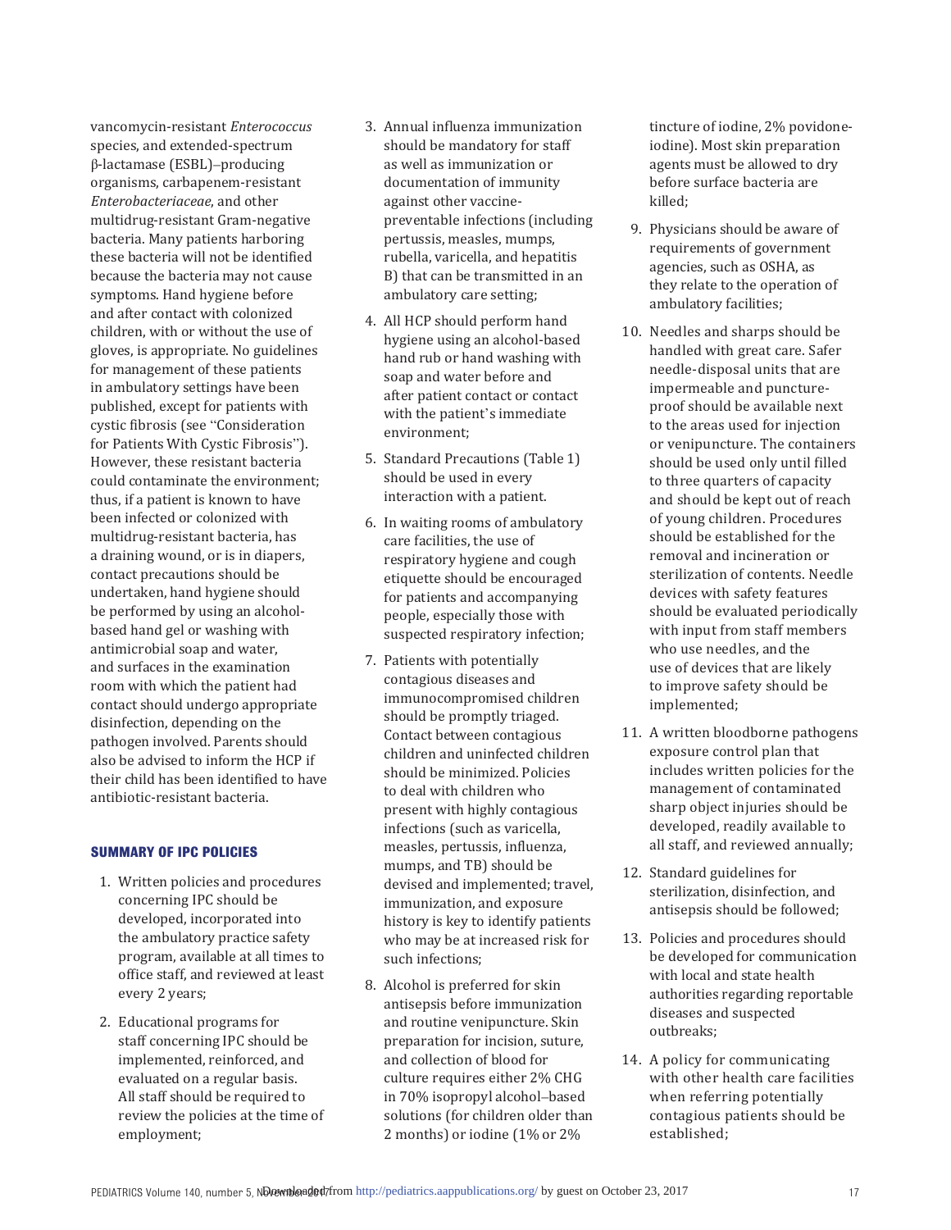vancomycin-resistant *Enterococcus* species, and extended-spectrum β-lactamase (ESBL)–producing organisms, carbapenem-resistant *Enterobacteriaceae*, and other multidrug-resistant Gram-negative bacteria. Many patients harboring these bacteria will not be identified because the bacteria may not cause symptoms. Hand hygiene before and after contact with colonized children, with or without the use of gloves, is appropriate. No guidelines for management of these patients in ambulatory settings have been published, except for patients with cystic fibrosis (see "Consideration for Patients With Cystic Fibrosis"). However, these resistant bacteria could contaminate the environment; thus, if a patient is known to have been infected or colonized with multidrug-resistant bacteria, has a draining wound, or is in diapers, contact precautions should be undertaken, hand hygiene should be performed by using an alcoholbased hand gel or washing with antimicrobial soap and water, and surfaces in the examination room with which the patient had contact should undergo appropriate disinfection, depending on the pathogen involved. Parents should also be advised to inform the HCP if their child has been identified to have antibiotic-resistant bacteria.

## **SUMMARY OF IPC POLICIES**

- 1. Written policies and procedures concerning IPC should be developed, incorporated into the ambulatory practice safety program, available at all times to office staff, and reviewed at least every 2 years;
- 2. Educational programs for staff concerning IPC should be implemented, reinforced, and evaluated on a regular basis. All staff should be required to review the policies at the time of employment;
- 3. Annual influenza immunization should be mandatory for staff as well as immunization or documentation of immunity against other vaccinepreventable infections (including pertussis, measles, mumps, rubella, varicella, and hepatitis B) that can be transmitted in an ambulatory care setting;
- 4. All HCP should perform hand hygiene using an alcohol-based hand rub or hand washing with soap and water before and after patient contact or contact with the patient's immediate environment;
- 5. Standard Precautions (Table 1) should be used in every interaction with a patient.
- 6. In waiting rooms of ambulatory care facilities, the use of respiratory hygiene and cough etiquette should be encouraged for patients and accompanying people, especially those with suspected respiratory infection;
- 7. Patients with potentially contagious diseases and immunocompromised children should be promptly triaged. Contact between contagious children and uninfected children should be minimized. Policies to deal with children who present with highly contagious infections (such as varicella, measles, pertussis, influenza, mumps, and TB) should be devised and implemented; travel, immunization, and exposure history is key to identify patients who may be at increased risk for such infections;
- 8. Alcohol is preferred for skin antisepsis before immunization and routine venipuncture. Skin preparation for incision, suture, and collection of blood for culture requires either 2% CHG in 70% isopropyl alcohol–based solutions (for children older than 2 months) or iodine (1% or 2%

tincture of iodine, 2% povidoneiodine). Most skin preparation agents must be allowed to dry before surface bacteria are killed;

- 9. Physicians should be aware of requirements of government agencies, such as OSHA, as they relate to the operation of ambulatory facilities;
- 10. Needles and sharps should be handled with great care. Safer needle-disposal units that are impermeable and punctureproof should be available next to the areas used for injection or venipuncture. The containers should be used only until filled to three quarters of capacity and should be kept out of reach of young children. Procedures should be established for the removal and incineration or sterilization of contents. Needle devices with safety features should be evaluated periodically with input from staff members who use needles, and the use of devices that are likely to improve safety should be implemented;
- 11. A written bloodborne pathogens exposure control plan that includes written policies for the management of contaminated sharp object injuries should be developed, readily available to all staff, and reviewed annually;
- 12. Standard guidelines for sterilization, disinfection, and antisepsis should be followed;
- 13. Policies and procedures should be developed for communication with local and state health authorities regarding reportable diseases and suspected outbreaks;
- 14. A policy for communicating with other health care facilities when referring potentially contagious patients should be established;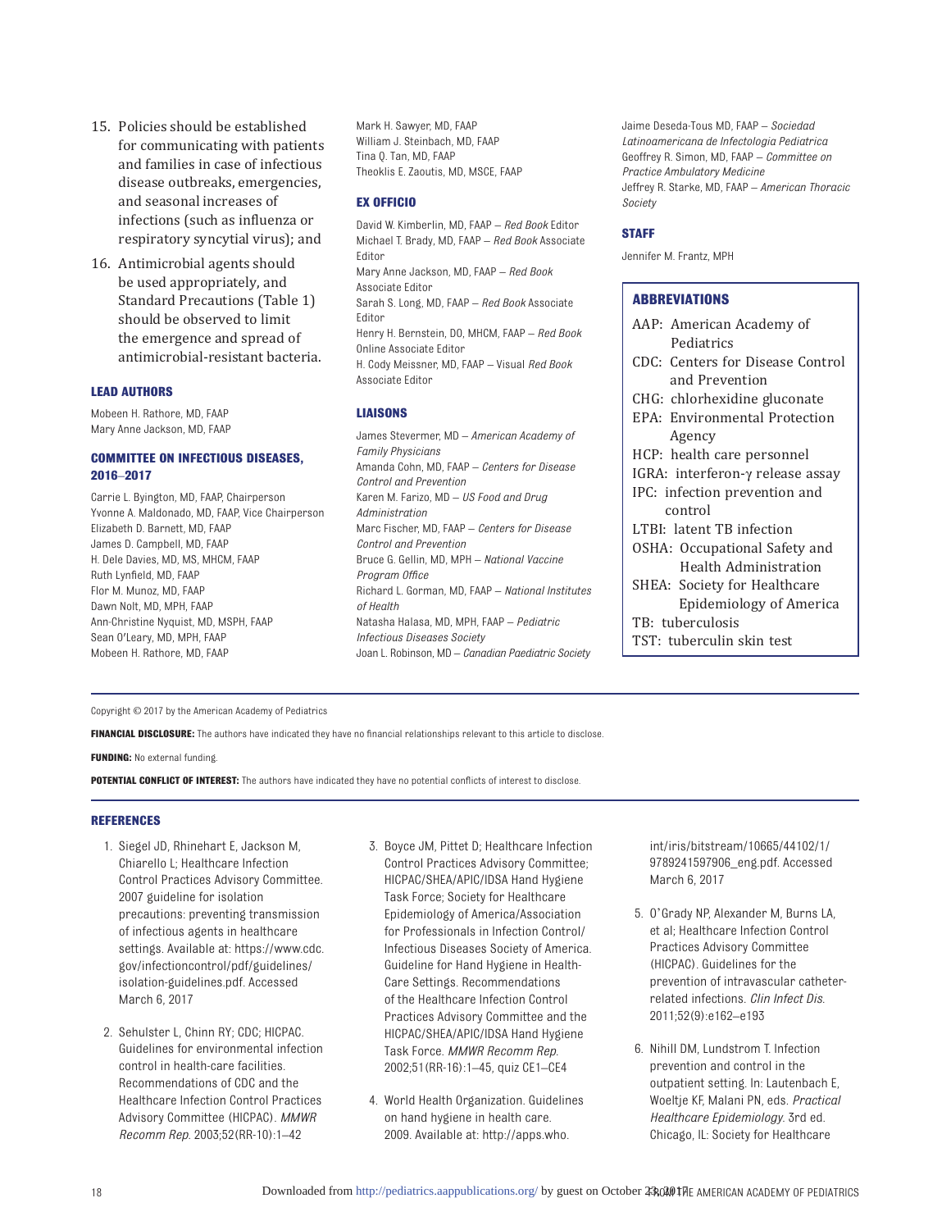- 15. Policies should be established for communicating with patients and families in case of infectious disease outbreaks, emergencies, and seasonal increases of infections (such as influenza or respiratory syncytial virus); and
- 16. Antimicrobial agents should be used appropriately, and Standard Precautions (Table 1) should be observed to limit the emergence and spread of antimicrobial-resistant bacteria.

#### **LEAD AUTHORS**

Mobeen H. Rathore, MD, FAAP Mary Anne Jackson, MD, FAAP

#### **COMMITTEE ON INFECTIOUS DISEASES, 2016**–**2017**

Carrie L. Byington, MD, FAAP, Chairperson Yvonne A. Maldonado, MD, FAAP, Vice Chairperson Elizabeth D. Barnett, MD, FAAP James D. Campbell, MD, FAAP H. Dele Davies, MD, MS, MHCM, FAAP Ruth Lynfield, MD, FAAP Flor M. Munoz, MD, FAAP Dawn Nolt, MD, MPH, FAAP Ann-Christine Nyquist, MD, MSPH, FAAP Sean O'Leary, MD, MPH, FAAP Mobeen H. Rathore, MD, FAAP

Mark H. Sawyer, MD, FAAP William J. Steinbach, MD, FAAP Tina Q. Tan, MD, FAAP Theoklis E. Zaoutis, MD, MSCE, FAAP

#### **EX OFFICIO**

David W. Kimberlin, MD, FAAP – *Red Book* Editor Michael T. Brady, MD, FAAP – *Red Book* Associate Editor Mary Anne Jackson, MD, FAAP – *Red Book* Associate Editor Sarah S. Long, MD, FAAP – *Red Book* Associate Editor Henry H. Bernstein, DO, MHCM, FAAP – *Red Book* Online Associate Editor H. Cody Meissner, MD, FAAP – Visual *Red Book* Associate Editor

#### **LIAISONS**

James Stevermer, MD – *American Academy of Family Physicians* Amanda Cohn, MD, FAAP – *Centers for Disease Control and Prevention* Karen M. Farizo, MD – *US Food and Drug Administration* Marc Fischer, MD, FAAP – *Centers for Disease Control and Prevention* Bruce G. Gellin, MD, MPH – *National Vaccine Program Office* Richard L. Gorman, MD, FAAP – *National Institutes of Health* Natasha Halasa, MD, MPH, FAAP – *Pediatric Infectious Diseases Society* Joan L. Robinson, MD – *Canadian Paediatric Society* Jaime Deseda-Tous MD, FAAP – *Sociedad Latinoamericana de Infectologia Pediatrica* Geoffrey R. Simon, MD, FAAP – *Committee on Practice Ambulatory Medicine* Jeffrey R. Starke, MD, FAAP – *American Thoracic Society*

#### **STAFF**

Jennifer M. Frantz, MPH

#### **ABBREVIATIONS**

| AAP: American Academy of         |
|----------------------------------|
| Pediatrics                       |
| CDC: Centers for Disease Control |
| and Prevention                   |
| CHG: chlorhexidine gluconate     |
| EPA: Environmental Protection    |
| Agency                           |
| HCP: health care personnel       |
| IGRA: interferon-γ release assay |
| IPC: infection prevention and    |
| control                          |
| LTBI: latent TB infection        |
| OSHA: Occupational Safety and    |
| Health Administration            |
| SHEA: Society for Healthcare     |
| Epidemiology of America          |
| TB: tuberculosis                 |
| TST: tuberculin skin test        |
|                                  |

Copyright © 2017 by the American Academy of Pediatrics

**FINANCIAL DISCLOSURE:** The authors have indicated they have no financial relationships relevant to this article to disclose.

**FUNDING:** No external funding.

**POTENTIAL CONFLICT OF INTEREST:** The authors have indicated they have no potential conflicts of interest to disclose.

#### **REFERENCES**

- 1. Siegel JD, Rhinehart E, Jackson M, Chiarello L; Healthcare Infection Control Practices Advisory Committee. 2007 guideline for isolation precautions: preventing transmission of infectious agents in healthcare settings. Available at: https://www.cdc. gov/infectioncontrol/pdf/guidelines/ isolation-guidelines.pdf. Accessed March 6, 2017
- 2. Sehulster L, Chinn RY; CDC; HICPAC. Guidelines for environmental infection control in health-care facilities. Recommendations of CDC and the Healthcare Infection Control Practices Advisory Committee (HICPAC). *MMWR Recomm Rep*. 2003;52(RR-10):1–42
- 3. Boyce JM, Pittet D; Healthcare Infection Control Practices Advisory Committee; HICPAC/SHEA/APIC/IDSA Hand Hygiene Task Force; Society for Healthcare Epidemiology of America/Association for Professionals in Infection Control/ Infectious Diseases Society of America. Guideline for Hand Hygiene in Health-Care Settings. Recommendations of the Healthcare Infection Control Practices Advisory Committee and the HICPAC/SHEA/APIC/IDSA Hand Hygiene Task Force. *MMWR Recomm Rep*. 2002;51(RR-16):1–45, quiz CE1–CE4
- 4. World Health Organization. Guidelines on hand hygiene in health care. 2009. Available at: http:// apps. who.

int/iris/bitstream/10665/44102/1/ 9789241597906\_ eng. pdf. Accessed March 6, 2017

- 5. O'Grady NP, Alexander M, Burns LA, et al; Healthcare Infection Control Practices Advisory Committee (HICPAC). Guidelines for the prevention of intravascular catheterrelated infections. *Clin Infect Dis*. 2011;52(9):e162–e193
- 6. Nihill DM, Lundstrom T. Infection prevention and control in the outpatient setting. In: Lautenbach E, Woeltje KF, Malani PN, eds. *Practical Healthcare Epidemiology*. 3rd ed. Chicago, IL: Society for Healthcare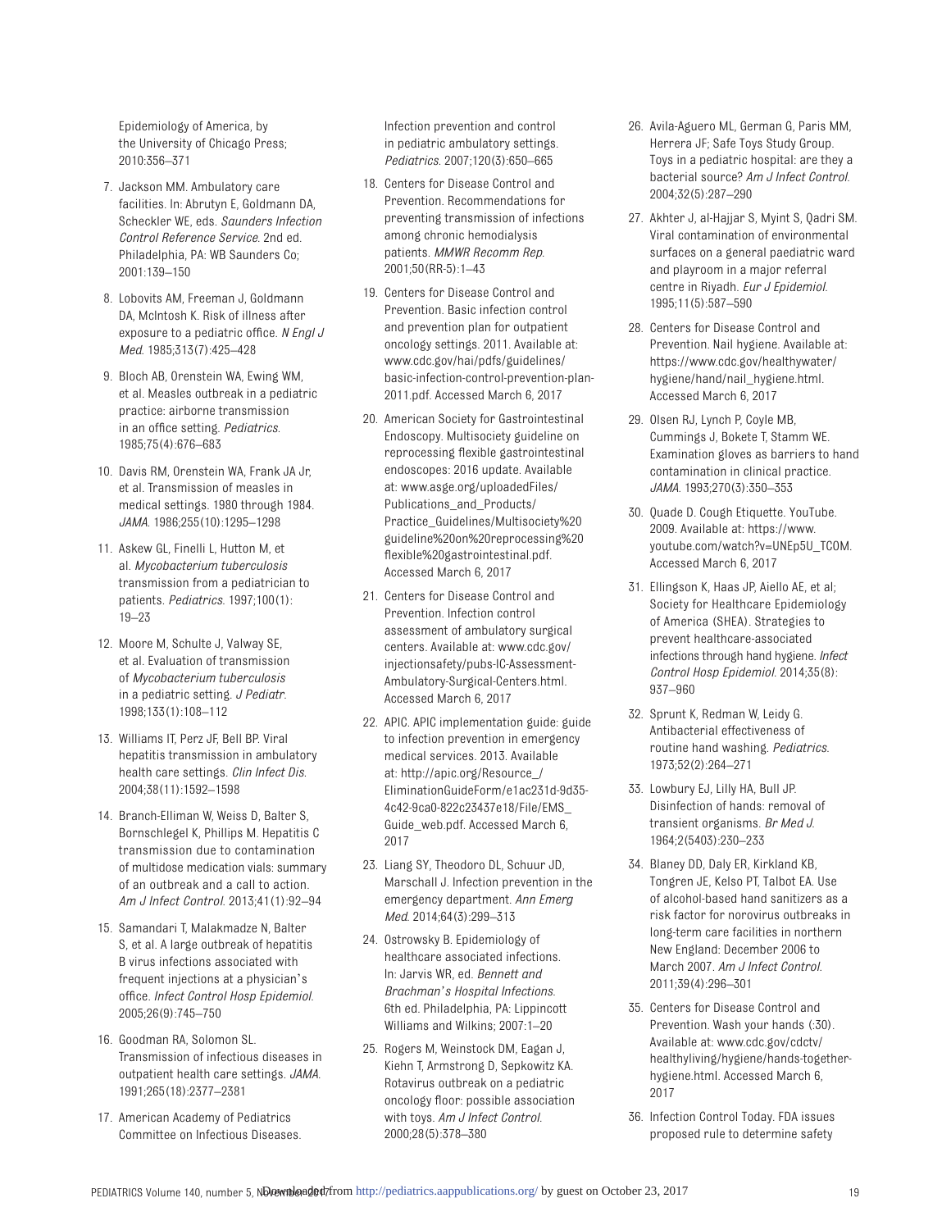Epidemiology of America, by the University of Chicago Press; 2010:356–371

- 7. Jackson MM. Ambulatory care facilities. In: Abrutyn E, Goldmann DA, Scheckler WE, eds. *Saunders Infection Control Reference Service*. 2nd ed. Philadelphia, PA: WB Saunders Co; 2001:139–150
- 8. Lobovits AM, Freeman J, Goldmann DA, McIntosh K. Risk of illness after exposure to a pediatric office. *N Engl J Med*. 1985;313(7):425–428
- 9. Bloch AB, Orenstein WA, Ewing WM, et al. Measles outbreak in a pediatric practice: airborne transmission in an office setting. *Pediatrics*. 1985;75(4):676–683
- 10. Davis RM, Orenstein WA, Frank JA Jr, et al. Transmission of measles in medical settings. 1980 through 1984. *JAMA*. 1986;255(10):1295–1298
- 11. Askew GL, Finelli L, Hutton M, et al. *Mycobacterium tuberculosis* transmission from a pediatrician to patients. *Pediatrics*. 1997;100(1): 19–23
- 12. Moore M, Schulte J, Valway SE, et al. Evaluation of transmission of *Mycobacterium tuberculosis* in a pediatric setting. *J Pediatr*. 1998;133(1):108–112
- 13. Williams IT, Perz JF, Bell BP. Viral hepatitis transmission in ambulatory health care settings. *Clin Infect Dis*. 2004;38(11):1592–1598
- 14. Branch-Elliman W, Weiss D, Balter S, Bornschlegel K, Phillips M. Hepatitis C transmission due to contamination of multidose medication vials: summary of an outbreak and a call to action. *Am J Infect Control*. 2013;41(1):92–94
- 15. Samandari T, Malakmadze N, Balter S, et al. A large outbreak of hepatitis B virus infections associated with frequent injections at a physician's office. *Infect Control Hosp Epidemiol*. 2005;26(9):745–750
- 16. Goodman RA, Solomon SL. Transmission of infectious diseases in outpatient health care settings. *JAMA*. 1991;265(18):2377–2381
- 17. American Academy of Pediatrics Committee on Infectious Diseases.

Infection prevention and control in pediatric ambulatory settings. *Pediatrics*. 2007;120(3):650–665

- 18. Centers for Disease Control and Prevention. Recommendations for preventing transmission of infections among chronic hemodialysis patients. *MMWR Recomm Rep*. 2001;50(RR-5):1–43
- 19. Centers for Disease Control and Prevention. Basic infection control and prevention plan for outpatient oncology settings. 2011. Available at: www.cdc.gov/hai/pdfs/guidelines/ basic-infection-control-prevention-plan-2011. pdf. Accessed March 6, 2017
- 20. American Society for Gastrointestinal Endoscopy. Multisociety guideline on reprocessing flexible gastrointestinal endoscopes: 2016 update. Available at: www.asge.org/uploadedFiles/ Publications\_ and\_ Products/ Practice Guidelines/ Multisociety%20 guideline%20 on%20 reprocessing%20 flexible%20 gastrointestinal.pdf. Accessed March 6, 2017
- 21. Centers for Disease Control and Prevention. Infection control assessment of ambulatory surgical centers. Available at: www. cdc. gov/ injectionsafety/pubs-IC-Assessment-Ambulatory-Surgical-Centers.html. Accessed March 6, 2017
- 22. APIC. APIC implementation guide: guide to infection prevention in emergency medical services. 2013. Available at: http:// apic. org/ Resource\_/ EliminationGuideForm/e1ac231d-9d35-4c42-9ca0-822c23437e18/File/EMS Guide\_ web. pdf. Accessed March 6, 2017
- 23. Liang SY, Theodoro DL, Schuur JD, Marschall J. Infection prevention in the emergency department. *Ann Emerg Med*. 2014;64(3):299–313
- 24. Ostrowsky B. Epidemiology of healthcare associated infections. In: Jarvis WR, ed. *Bennett and Brachman's Hospital Infections*. 6th ed. Philadelphia, PA: Lippincott Williams and Wilkins; 2007:1–20
- 25. Rogers M, Weinstock DM, Eagan J, Kiehn T, Armstrong D, Sepkowitz KA. Rotavirus outbreak on a pediatric oncology floor: possible association with toys. *Am J Infect Control*. 2000;28(5):378–380
- 26. Avila-Aguero ML, German G, Paris MM, Herrera JF; Safe Toys Study Group. Toys in a pediatric hospital: are they a bacterial source? *Am J Infect Control*. 2004;32(5):287–290
- 27. Akhter J, al-Hajjar S, Myint S, Qadri SM. Viral contamination of environmental surfaces on a general paediatric ward and playroom in a major referral centre in Riyadh. *Eur J Epidemiol*. 1995;11(5):587–590
- 28. Centers for Disease Control and Prevention. Nail hygiene. Available at: https://www.cdc.gov/healthywater/ hygiene/hand/nail\_hygiene.html. Accessed March 6, 2017
- 29. Olsen RJ, Lynch P, Coyle MB, Cummings J, Bokete T, Stamm WE. Examination gloves as barriers to hand contamination in clinical practice. *JAMA*. 1993;270(3):350–353
- 30. Quade D. Cough Etiquette. YouTube. 2009. Available at: https:// www. youtube.com/watch?v=UNEp5U\_TCOM. Accessed March 6, 2017
- 31. Ellingson K, Haas JP, Aiello AE, et al; Society for Healthcare Epidemiology of America (SHEA). Strategies to prevent healthcare-associated infections through hand hygiene. *Infect Control Hosp Epidemiol*. 2014;35(8): 937–960
- 32. Sprunt K, Redman W, Leidy G. Antibacterial effectiveness of routine hand washing. *Pediatrics*. 1973;52(2):264–271
- 33. Lowbury EJ, Lilly HA, Bull JP. Disinfection of hands: removal of transient organisms. *Br Med J*. 1964;2(5403):230–233
- 34. Blaney DD, Daly ER, Kirkland KB, Tongren JE, Kelso PT, Talbot EA. Use of alcohol-based hand sanitizers as a risk factor for norovirus outbreaks in long-term care facilities in northern New England: December 2006 to March 2007. *Am J Infect Control*. 2011;39(4):296–301
- 35. Centers for Disease Control and Prevention. Wash your hands (:30). Available at: www.cdc.gov/cdctv/ healthyliving/hygiene/hands-togetherhygiene.html. Accessed March 6, 2017
- 36. Infection Control Today. FDA issues proposed rule to determine safety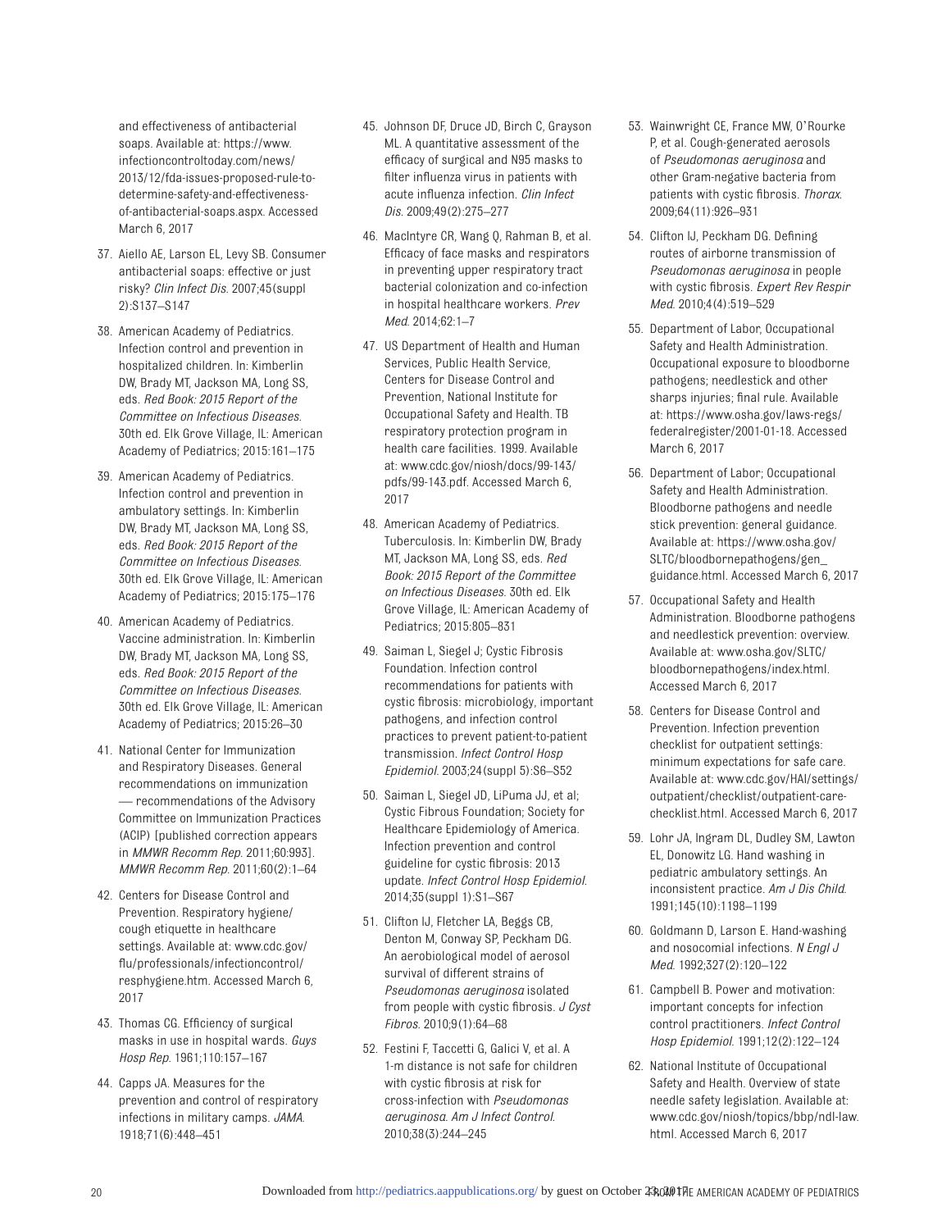and effectiveness of antibacterial soaps. Available at: https:// www. infectioncontroltoday.com/news/ 2013/12/fda-issues-proposed-rule-todetermine-safety-and-effectivenessof- antibacterial- soaps. aspx. Accessed March 6, 2017

- 37. Aiello AE, Larson EL, Levy SB. Consumer antibacterial soaps: effective or just risky? *Clin Infect Dis*. 2007;45(suppl 2):S137–S147
- 38. American Academy of Pediatrics. Infection control and prevention in hospitalized children. In: Kimberlin DW, Brady MT, Jackson MA, Long SS, eds. *Red Book: 2015 Report of the Committee on Infectious Diseases*. 30th ed. Elk Grove Village, IL: American Academy of Pediatrics; 2015:161–175
- 39. American Academy of Pediatrics. Infection control and prevention in ambulatory settings. In: Kimberlin DW, Brady MT, Jackson MA, Long SS, eds. *Red Book: 2015 Report of the Committee on Infectious Diseases*. 30th ed. Elk Grove Village, IL: American Academy of Pediatrics; 2015:175–176
- 40. American Academy of Pediatrics. Vaccine administration. In: Kimberlin DW, Brady MT, Jackson MA, Long SS, eds. *Red Book: 2015 Report of the Committee on Infectious Diseases*. 30th ed. Elk Grove Village, IL: American Academy of Pediatrics; 2015:26–30
- 41. National Center for Immunization and Respiratory Diseases. General recommendations on immunization — recommendations of the Advisory Committee on Immunization Practices (ACIP) [published correction appears in *MMWR Recomm Rep*. 2011;60:993]. *MMWR Recomm Rep*. 2011;60(2):1–64
- 42. Centers for Disease Control and Prevention. Respiratory hygiene/ cough etiquette in healthcare settings. Available at: www.cdc.gov/ flu/professionals/infectioncontrol/ resphygiene. htm. Accessed March 6, 2017
- 43. Thomas CG. Efficiency of surgical masks in use in hospital wards. *Guys Hosp Rep*. 1961;110:157–167
- 44. Capps JA. Measures for the prevention and control of respiratory infections in military camps. *JAMA*. 1918;71(6):448–451
- 45. Johnson DF, Druce JD, Birch C, Grayson ML. A quantitative assessment of the efficacy of surgical and N95 masks to filter influenza virus in patients with acute influenza infection. *Clin Infect Dis*. 2009;49(2):275–277
- 46. MacIntyre CR, Wang Q, Rahman B, et al. Efficacy of face masks and respirators in preventing upper respiratory tract bacterial colonization and co-infection in hospital healthcare workers. *Prev Med*. 2014;62:1–7
- 47. US Department of Health and Human Services, Public Health Service, Centers for Disease Control and Prevention, National Institute for Occupational Safety and Health. TB respiratory protection program in health care facilities. 1999. Available at: www.cdc.gov/niosh/docs/99-143/ pdfs/99-143.pdf. Accessed March 6, 2017
- 48. American Academy of Pediatrics. Tuberculosis. In: Kimberlin DW, Brady MT, Jackson MA, Long SS, eds. *Red Book: 2015 Report of the Committee on Infectious Diseases*. 30th ed. Elk Grove Village, IL: American Academy of Pediatrics; 2015:805–831
- 49. Saiman L, Siegel J; Cystic Fibrosis Foundation. Infection control recommendations for patients with cystic fibrosis: microbiology, important pathogens, and infection control practices to prevent patient-to-patient transmission. *Infect Control Hosp Epidemiol*. 2003;24(suppl 5):S6–S52
- 50. Saiman L, Siegel JD, LiPuma JJ, et al; Cystic Fibrous Foundation; Society for Healthcare Epidemiology of America. Infection prevention and control guideline for cystic fibrosis: 2013 update. *Infect Control Hosp Epidemiol*. 2014;35(suppl 1):S1–S67
- 51. Clifton IJ, Fletcher LA, Beggs CB, Denton M, Conway SP, Peckham DG. An aerobiological model of aerosol survival of different strains of *Pseudomonas aeruginosa* isolated from people with cystic fibrosis. *J Cyst Fibros*. 2010;9(1):64–68
- 52. Festini F, Taccetti G, Galici V, et al. A 1-m distance is not safe for children with cystic fibrosis at risk for cross-infection with *Pseudomonas aeruginosa. Am J Infect Control*. 2010;38(3):244–245
- 53. Wainwright CE, France MW, O'Rourke P, et al. Cough-generated aerosols of *Pseudomonas aeruginosa* and other Gram-negative bacteria from patients with cystic fibrosis. *Thorax*. 2009;64(11):926–931
- 54. Clifton IJ, Peckham DG. Defining routes of airborne transmission of *Pseudomonas aeruginosa* in people with cystic fibrosis. *Expert Rev Respir Med*. 2010;4(4):519–529
- 55. Department of Labor, Occupational Safety and Health Administration. Occupational exposure to bloodborne pathogens; needlestick and other sharps injuries; final rule. Available at: https://www.osha.gov/laws-regs/ federalregister/2001-01-18. Accessed March 6, 2017
- 56. Department of Labor; Occupational Safety and Health Administration. Bloodborne pathogens and needle stick prevention: general guidance. Available at: https:// www. osha. gov/ SLTC/bloodbornepathogens/gen\_ guidance. html. Accessed March 6, 2017
- 57. Occupational Safety and Health Administration. Bloodborne pathogens and needlestick prevention: overview. Available at: www.osha.gov/SLTC/ bloodbornepathogens/index.html. Accessed March 6, 2017
- 58. Centers for Disease Control and Prevention. Infection prevention checklist for outpatient settings: minimum expectations for safe care. Available at: www.cdc.gov/HAI/settings/ outpatient/ checklist/ outpatient-carechecklist. html. Accessed March 6, 2017
- 59. Lohr JA, Ingram DL, Dudley SM, Lawton EL, Donowitz LG. Hand washing in pediatric ambulatory settings. An inconsistent practice. *Am J Dis Child*. 1991;145(10):1198–1199
- 60. Goldmann D, Larson E. Hand-washing and nosocomial infections. *N Engl J Med*. 1992;327(2):120–122
- 61. Campbell B. Power and motivation: important concepts for infection control practitioners. *Infect Control Hosp Epidemiol*. 1991;12(2):122–124
- 62. National Institute of Occupational Safety and Health. Overview of state needle safety legislation. Available at: www.cdc.gov/niosh/topics/bbp/ndl-law. html. Accessed March 6, 2017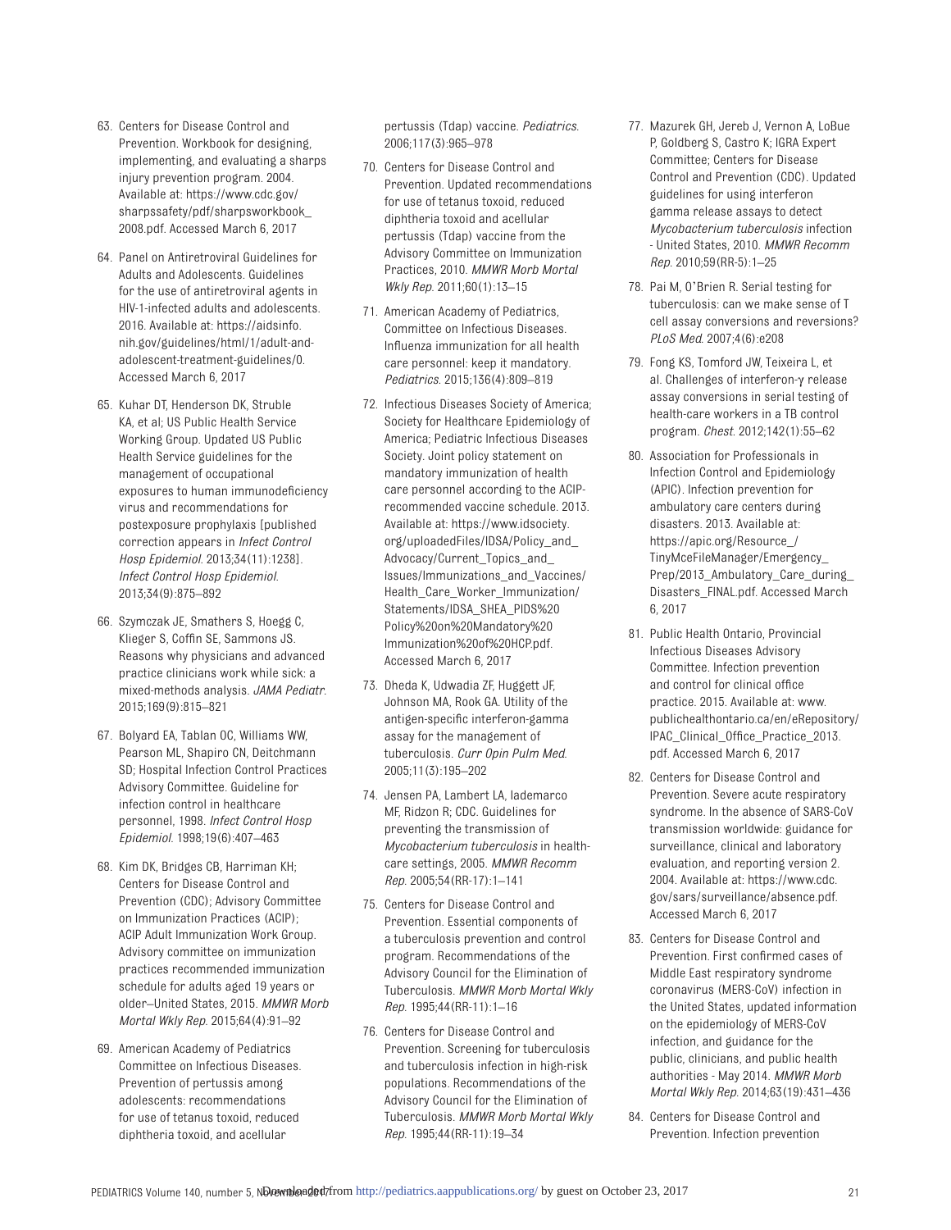- 63. Centers for Disease Control and Prevention. Workbook for designing, implementing, and evaluating a sharps injury prevention program. 2004. Available at: https:// www. cdc. gov/ sharpssafety/pdf/sharpsworkbook\_ 2008. pdf. Accessed March 6, 2017
- 64. Panel on Antiretroviral Guidelines for Adults and Adolescents. Guidelines for the use of antiretroviral agents in HIV-1-infected adults and adolescents. 2016. Available at: https:// aidsinfo. nih.gov/guidelines/html/1/adult-andadolescent-treatment-guidelines/0. Accessed March 6, 2017
- 65. Kuhar DT, Henderson DK, Struble KA, et al; US Public Health Service Working Group. Updated US Public Health Service guidelines for the management of occupational exposures to human immunodeficiency virus and recommendations for postexposure prophylaxis [published correction appears in *Infect Control Hosp Epidemiol*. 2013;34(11):1238]. *Infect Control Hosp Epidemiol*. 2013;34(9):875–892
- 66. Szymczak JE, Smathers S, Hoegg C, Klieger S, Coffin SE, Sammons JS. Reasons why physicians and advanced practice clinicians work while sick: a mixed-methods analysis. *JAMA Pediatr*. 2015;169(9):815–821
- 67. Bolyard EA, Tablan OC, Williams WW, Pearson ML, Shapiro CN, Deitchmann SD; Hospital Infection Control Practices Advisory Committee. Guideline for infection control in healthcare personnel, 1998. *Infect Control Hosp Epidemiol*. 1998;19(6):407–463
- 68. Kim DK, Bridges CB, Harriman KH; Centers for Disease Control and Prevention (CDC); Advisory Committee on Immunization Practices (ACIP); ACIP Adult Immunization Work Group. Advisory committee on immunization practices recommended immunization schedule for adults aged 19 years or older–United States, 2015. *MMWR Morb Mortal Wkly Rep*. 2015;64(4):91–92
- 69. American Academy of Pediatrics Committee on Infectious Diseases. Prevention of pertussis among adolescents: recommendations for use of tetanus toxoid, reduced diphtheria toxoid, and acellular

pertussis (Tdap) vaccine. *Pediatrics*. 2006;117(3):965–978

- 70. Centers for Disease Control and Prevention. Updated recommendations for use of tetanus toxoid, reduced diphtheria toxoid and acellular pertussis (Tdap) vaccine from the Advisory Committee on Immunization Practices, 2010. *MMWR Morb Mortal Wkly Rep*. 2011;60(1):13–15
- 71. American Academy of Pediatrics, Committee on Infectious Diseases. Influenza immunization for all health care personnel: keep it mandatory. *Pediatrics*. 2015;136(4):809–819
- 72. Infectious Diseases Society of America; Society for Healthcare Epidemiology of America; Pediatric Infectious Diseases Society. Joint policy statement on mandatory immunization of health care personnel according to the ACIPrecommended vaccine schedule. 2013. Available at: https:// www. idsociety. org/uploadedFiles/IDSA/Policy\_and Advocacy/Current\_Topics\_and\_ Issues/Immunizations\_ and\_Vaccines/ Health Care Worker Immunization/ Statements/IDSA\_SHEA\_PIDS%20 Policy%20 on%20 Mandatory%20 Immunization%20 of%20 HCP. pdf. Accessed March 6, 2017
- 73. Dheda K, Udwadia ZF, Huggett JF, Johnson MA, Rook GA. Utility of the antigen-specific interferon-gamma assay for the management of tuberculosis. *Curr Opin Pulm Med*. 2005;11(3):195–202
- 74. Jensen PA, Lambert LA, Iademarco MF, Ridzon R; CDC. Guidelines for preventing the transmission of *Mycobacterium tuberculosis* in healthcare settings, 2005. *MMWR Recomm Rep*. 2005;54(RR-17):1–141
- 75. Centers for Disease Control and Prevention. Essential components of a tuberculosis prevention and control program. Recommendations of the Advisory Council for the Elimination of Tuberculosis. *MMWR Morb Mortal Wkly Rep*. 1995;44(RR-11):1–16
- 76. Centers for Disease Control and Prevention. Screening for tuberculosis and tuberculosis infection in high-risk populations. Recommendations of the Advisory Council for the Elimination of Tuberculosis. *MMWR Morb Mortal Wkly Rep*. 1995;44(RR-11):19–34
- 77. Mazurek GH, Jereb J, Vernon A, LoBue P, Goldberg S, Castro K; IGRA Expert Committee; Centers for Disease Control and Prevention (CDC). Updated guidelines for using interferon gamma release assays to detect *Mycobacterium tuberculosis* infection - United States, 2010. *MMWR Recomm Rep*. 2010;59(RR-5):1–25
- 78. Pai M, O'Brien R. Serial testing for tuberculosis: can we make sense of T cell assay conversions and reversions? *PLoS Med*. 2007;4(6):e208
- 79. Fong KS, Tomford JW, Teixeira L, et al. Challenges of interferon-γ release assay conversions in serial testing of health-care workers in a TB control program. *Chest*. 2012;142(1):55–62
- 80. Association for Professionals in Infection Control and Epidemiology (APIC). Infection prevention for ambulatory care centers during disasters. 2013. Available at: https://apic.org/Resource / TinyMceFileManager/Emergency Prep/2013\_Ambulatory\_Care\_during\_ Disasters\_ FINAL. pdf. Accessed March 6, 2017
- 81. Public Health Ontario, Provincial Infectious Diseases Advisory Committee. Infection prevention and control for clinical office practice. 2015. Available at: www. publichealthontario.ca/en/eRepository/ IPAC\_Clinical\_Office\_Practice\_2013. pdf. Accessed March 6, 2017
- 82. Centers for Disease Control and Prevention. Severe acute respiratory syndrome. In the absence of SARS-CoV transmission worldwide: guidance for surveillance, clinical and laboratory evaluation, and reporting version 2. 2004. Available at: https:// www. cdc. gov/sars/surveillance/absence.pdf. Accessed March 6, 2017
- 83. Centers for Disease Control and Prevention. First confirmed cases of Middle East respiratory syndrome coronavirus (MERS-CoV) infection in the United States, updated information on the epidemiology of MERS-CoV infection, and guidance for the public, clinicians, and public health authorities - May 2014. *MMWR Morb Mortal Wkly Rep*. 2014;63(19):431–436
- 84. Centers for Disease Control and Prevention. Infection prevention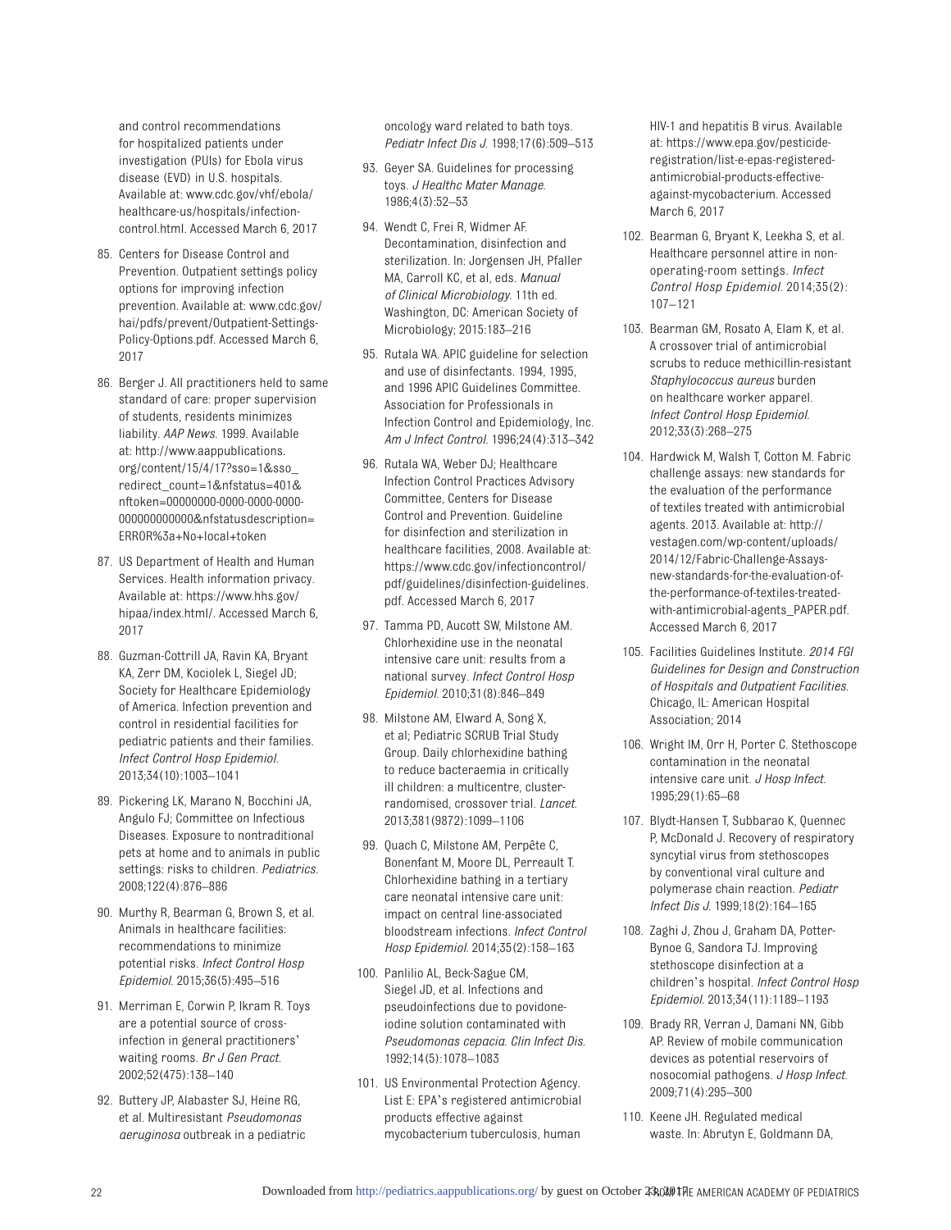and control recommendations for hospitalized patients under investigation (PUIs) for Ebola virus disease (EVD) in U.S. hospitals. Available at: www.cdc.gov/vhf/ebola/ healthcare-us/hospitals/infectioncontrol. html. Accessed March 6, 2017

- 85. Centers for Disease Control and Prevention. Outpatient settings policy options for improving infection prevention. Available at: www.cdc.gov/ hai/pdfs/prevent/0utpatient-Settings-Policy-Options.pdf. Accessed March 6, 2017
- 86. Berger J. All practitioners held to same standard of care: proper supervision of students, residents minimizes liability. *AAP News*. 1999. Available at: http:// www. aappublications. org/ content/ 15/ 4/ 17? sso= 1& sso\_ redirect\_count= 1& nfstatus= 401& nftoken=00000000-0000-0000-0000-000000000000& nfstatusdescription= ERROR%3 a+No+local+token
- 87. US Department of Health and Human Services. Health information privacy. Available at: https:// www. hhs. gov/ hipaa/index.html/. Accessed March 6, 2017
- 88. Guzman-Cottrill JA, Ravin KA, Bryant KA, Zerr DM, Kociolek L, Siegel JD; Society for Healthcare Epidemiology of America. Infection prevention and control in residential facilities for pediatric patients and their families. *Infect Control Hosp Epidemiol*. 2013;34(10):1003–1041
- 89. Pickering LK, Marano N, Bocchini JA, Angulo FJ; Committee on Infectious Diseases. Exposure to nontraditional pets at home and to animals in public settings: risks to children. *Pediatrics*. 2008;122(4):876–886
- 90. Murthy R, Bearman G, Brown S, et al. Animals in healthcare facilities: recommendations to minimize potential risks. *Infect Control Hosp Epidemiol*. 2015;36(5):495–516
- 91. Merriman E, Corwin P, Ikram R. Toys are a potential source of crossinfection in general practitioners' waiting rooms. *Br J Gen Pract*. 2002;52(475):138–140
- 92. Buttery JP, Alabaster SJ, Heine RG, et al. Multiresistant *Pseudomonas aeruginosa* outbreak in a pediatric

oncology ward related to bath toys. *Pediatr Infect Dis J*. 1998;17(6):509–513

- 93. Geyer SA. Guidelines for processing toys. *J Healthc Mater Manage*. 1986;4(3):52–53
- 94. Wendt C, Frei R, Widmer AF. Decontamination, disinfection and sterilization. In: Jorgensen JH, Pfaller MA, Carroll KC, et al, eds. *Manual of Clinical Microbiology*. 11th ed. Washington, DC: American Society of Microbiology; 2015:183–216
- 95. Rutala WA. APIC guideline for selection and use of disinfectants. 1994, 1995, and 1996 APIC Guidelines Committee. Association for Professionals in Infection Control and Epidemiology, Inc. *Am J Infect Control*. 1996;24(4):313–342
- 96. Rutala WA, Weber DJ; Healthcare Infection Control Practices Advisory Committee, Centers for Disease Control and Prevention. Guideline for disinfection and sterilization in healthcare facilities, 2008. Available at: https:// www. cdc. gov/ infectioncontrol/ pdf/guidelines/disinfection-guidelines. pdf. Accessed March 6, 2017
- 97. Tamma PD, Aucott SW, Milstone AM. Chlorhexidine use in the neonatal intensive care unit: results from a national survey. *Infect Control Hosp Epidemiol*. 2010;31(8):846–849
- 98. Milstone AM, Elward A, Song X, et al; Pediatric SCRUB Trial Study Group. Daily chlorhexidine bathing to reduce bacteraemia in critically ill children: a multicentre, clusterrandomised, crossover trial. *Lancet*. 2013;381(9872):1099–1106
- 99. Quach C, Milstone AM, Perpête C, Bonenfant M, Moore DL, Perreault T. Chlorhexidine bathing in a tertiary care neonatal intensive care unit: impact on central line-associated bloodstream infections. *Infect Control Hosp Epidemiol*. 2014;35(2):158–163
- 100. Panlilio AL, Beck-Sague CM, Siegel JD, et al. Infections and pseudoinfections due to povidoneiodine solution contaminated with *Pseudomonas cepacia. Clin Infect Dis*. 1992;14(5):1078–1083
- 101. US Environmental Protection Agency. List E: EPA's registered antimicrobial products effective against mycobacterium tuberculosis, human

HIV-1 and hepatitis B virus. Available at: https://www.epa.gov/pesticideregistration/list-e-epas-registeredantimicrobial-products-effectiveagainst-mycobacterium. Accessed March 6, 2017

- 102. Bearman G, Bryant K, Leekha S, et al. Healthcare personnel attire in nonoperating-room settings. *Infect Control Hosp Epidemiol*. 2014;35(2): 107–121
- 103. Bearman GM, Rosato A, Elam K, et al. A crossover trial of antimicrobial scrubs to reduce methicillin-resistant *Staphylococcus aureus* burden on healthcare worker apparel. *Infect Control Hosp Epidemiol*. 2012;33(3):268–275
- 104. Hardwick M, Walsh T, Cotton M. Fabric challenge assays: new standards for the evaluation of the performance of textiles treated with antimicrobial agents. 2013. Available at: http:// vestagen.com/wp-content/uploads/ 2014/12/Fabric-Challenge-Assaysnew-standards-for-the-evaluation-ofthe-performance-of-textiles-treatedwith-antimicrobial-agents\_PAPER.pdf. Accessed March 6, 2017
- 105. Facilities Guidelines Institute. *2014 FGI Guidelines for Design and Construction of Hospitals and Outpatient Facilities*. Chicago, IL: American Hospital Association; 2014
- 106. Wright IM, Orr H, Porter C. Stethoscope contamination in the neonatal intensive care unit. *J Hosp Infect*. 1995;29(1):65–68
- 107. Blydt-Hansen T, Subbarao K, Quennec P, McDonald J. Recovery of respiratory syncytial virus from stethoscopes by conventional viral culture and polymerase chain reaction. *Pediatr Infect Dis J*. 1999;18(2):164–165
- 108. Zaghi J, Zhou J, Graham DA, Potter-Bynoe G, Sandora TJ. Improving stethoscope disinfection at a children's hospital. *Infect Control Hosp Epidemiol*. 2013;34(11):1189–1193
- 109. Brady RR, Verran J, Damani NN, Gibb AP. Review of mobile communication devices as potential reservoirs of nosocomial pathogens. *J Hosp Infect*. 2009;71(4):295–300
- 110. Keene JH. Regulated medical waste. In: Abrutyn E, Goldmann DA,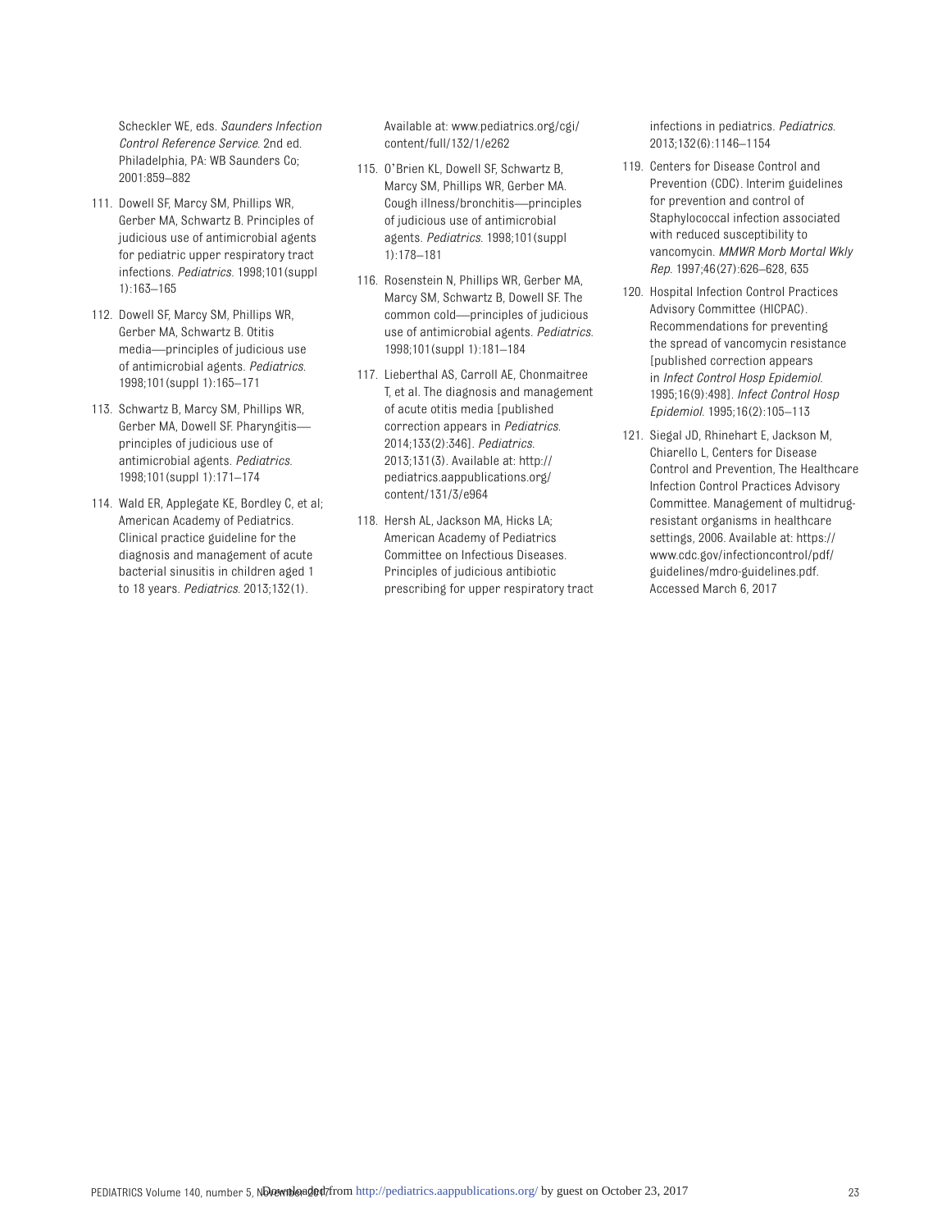Scheckler WE, eds. *Saunders Infection Control Reference Service*. 2nd ed. Philadelphia, PA: WB Saunders Co; 2001:859–882

- 111. Dowell SF, Marcy SM, Phillips WR, Gerber MA, Schwartz B. Principles of judicious use of antimicrobial agents for pediatric upper respiratory tract infections. *Pediatrics*. 1998;101(suppl 1):163–165
- 112. Dowell SF, Marcy SM, Phillips WR, Gerber MA, Schwartz B. Otitis media—principles of judicious use of antimicrobial agents. *Pediatrics*. 1998;101(suppl 1):165–171
- 113. Schwartz B, Marcy SM, Phillips WR, Gerber MA, Dowell SF. Pharyngitis principles of judicious use of antimicrobial agents. *Pediatrics*. 1998;101(suppl 1):171–174
- 114. Wald ER, Applegate KE, Bordley C, et al; American Academy of Pediatrics. Clinical practice guideline for the diagnosis and management of acute bacterial sinusitis in children aged 1 to 18 years. *Pediatrics*. 2013;132(1).

Available at: www.pediatrics.org/cgi/ content/full/132/1/e262

- 115. O'Brien KL, Dowell SF, Schwartz B, Marcy SM, Phillips WR, Gerber MA. Cough illness/bronchitis—principles of judicious use of antimicrobial agents. *Pediatrics*. 1998;101(suppl 1):178–181
- 116. Rosenstein N, Phillips WR, Gerber MA, Marcy SM, Schwartz B, Dowell SF. The common cold—principles of judicious use of antimicrobial agents. *Pediatrics*. 1998;101(suppl 1):181–184
- 117. Lieberthal AS, Carroll AE, Chonmaitree T, et al. The diagnosis and management of acute otitis media [published correction appears in *Pediatrics*. 2014;133(2):346]. *Pediatrics*. 2013;131(3). Available at: http:// pediatrics. aappublications. org/ content/131/3/e964
- 118. Hersh AL, Jackson MA, Hicks LA; American Academy of Pediatrics Committee on Infectious Diseases. Principles of judicious antibiotic prescribing for upper respiratory tract

infections in pediatrics. *Pediatrics*. 2013;132(6):1146–1154

- 119. Centers for Disease Control and Prevention (CDC). Interim guidelines for prevention and control of Staphylococcal infection associated with reduced susceptibility to vancomycin. *MMWR Morb Mortal Wkly Rep*. 1997;46(27):626–628, 635
- 120. Hospital Infection Control Practices Advisory Committee (HICPAC). Recommendations for preventing the spread of vancomycin resistance [published correction appears in *Infect Control Hosp Epidemiol*. 1995;16(9):498]. *Infect Control Hosp Epidemiol*. 1995;16(2):105–113
- 121. Siegal JD, Rhinehart E, Jackson M, Chiarello L, Centers for Disease Control and Prevention, The Healthcare Infection Control Practices Advisory Committee. Management of multidrugresistant organisms in healthcare settings, 2006. Available at: https:// www.cdc.gov/infectioncontrol/pdf/ guidelines/mdro-guidelines.pdf. Accessed March 6, 2017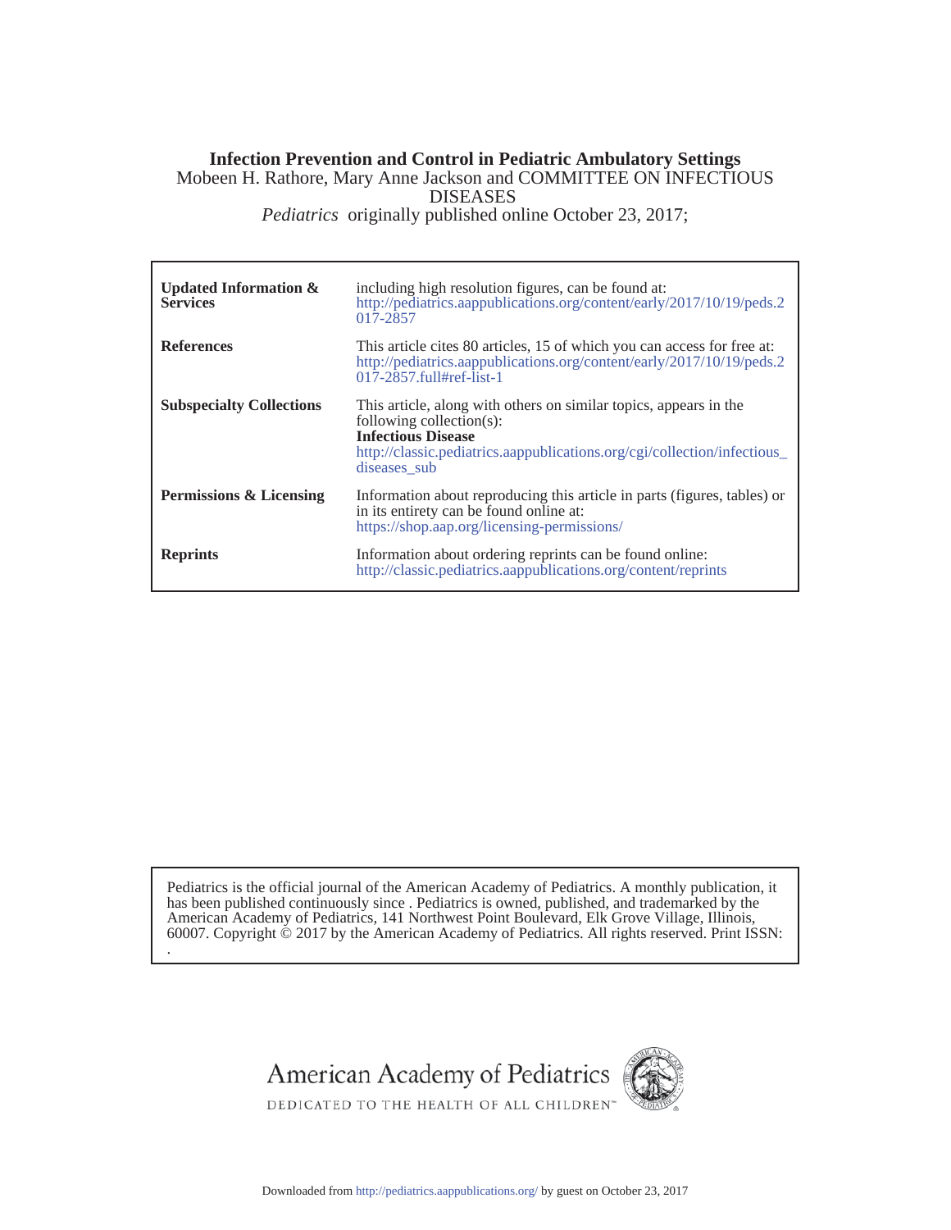# *Pediatrics* originally published online October 23, 2017; DISEASES Mobeen H. Rathore, Mary Anne Jackson and COMMITTEE ON INFECTIOUS **Infection Prevention and Control in Pediatric Ambulatory Settings**

| <b>Updated Information &amp;</b><br><b>Services</b> | including high resolution figures, can be found at:<br>http://pediatrics.aappublications.org/content/early/2017/10/19/peds.2<br>017-2857                                                                               |
|-----------------------------------------------------|------------------------------------------------------------------------------------------------------------------------------------------------------------------------------------------------------------------------|
| <b>References</b>                                   | This article cites 80 articles, 15 of which you can access for free at:<br>http://pediatrics.aappublications.org/content/early/2017/10/19/peds.2<br>017-2857.full#ref-list-1                                           |
| <b>Subspecialty Collections</b>                     | This article, along with others on similar topics, appears in the<br>following collection(s):<br><b>Infectious Disease</b><br>http://classic.pediatrics.aappublications.org/cgi/collection/infectious_<br>diseases sub |
| Permissions & Licensing                             | Information about reproducing this article in parts (figures, tables) or<br>in its entirety can be found online at:<br>https://shop.aap.org/licensing-permissions/                                                     |
| <b>Reprints</b>                                     | Information about ordering reprints can be found online:<br>http://classic.pediatrics.aappublications.org/content/reprints                                                                                             |

. 60007. Copyright © 2017 by the American Academy of Pediatrics. All rights reserved. Print ISSN: American Academy of Pediatrics, 141 Northwest Point Boulevard, Elk Grove Village, Illinois, has been published continuously since . Pediatrics is owned, published, and trademarked by the Pediatrics is the official journal of the American Academy of Pediatrics. A monthly publication, it